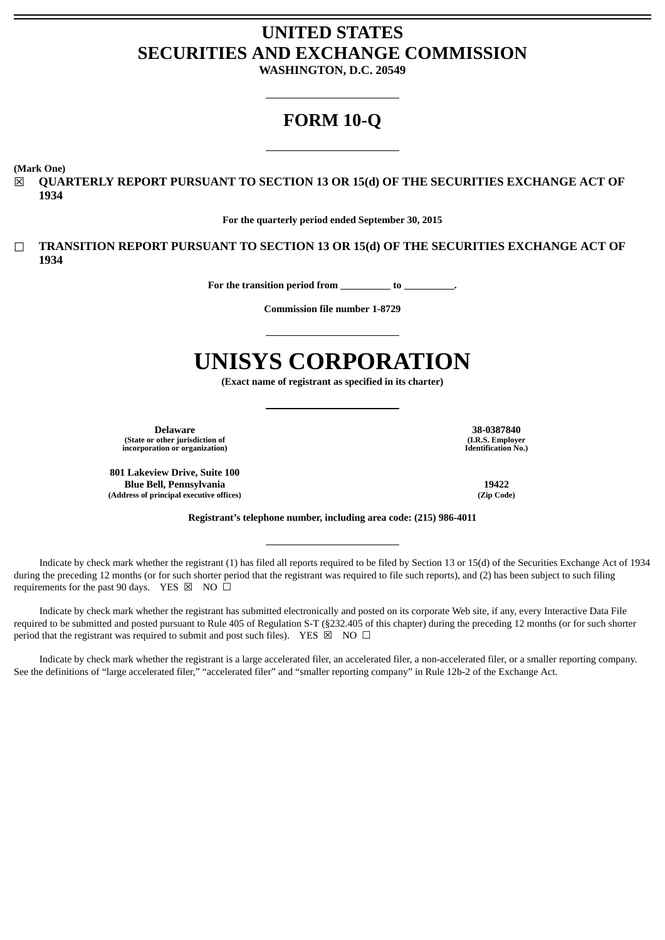# **UNITED STATES SECURITIES AND EXCHANGE COMMISSION**

**WASHINGTON, D.C. 20549**

# **FORM 10-Q**

**(Mark One)**

☒ **QUARTERLY REPORT PURSUANT TO SECTION 13 OR 15(d) OF THE SECURITIES EXCHANGE ACT OF 1934**

**For the quarterly period ended September 30, 2015**

☐ **TRANSITION REPORT PURSUANT TO SECTION 13 OR 15(d) OF THE SECURITIES EXCHANGE ACT OF 1934**

**For the transition period from to .**

**Commission file number 1-8729**

# **UNISYS CORPORATION**

**(Exact name of registrant as specified in its charter)**

**Delaware 38-0387840 (State or other jurisdiction of incorporation or organization)**

**801 Lakeview Drive, Suite 100 Blue Bell, Pennsylvania (Address of principal executive offices)**

**(I.R.S. Employer Identification No.)**

> **19422 (Zip Code)**

**Registrant's telephone number, including area code: (215) 986-4011**

Indicate by check mark whether the registrant (1) has filed all reports required to be filed by Section 13 or 15(d) of the Securities Exchange Act of 1934 during the preceding 12 months (or for such shorter period that the registrant was required to file such reports), and (2) has been subject to such filing requirements for the past 90 days. YES  $\boxtimes$  NO  $\Box$ 

Indicate by check mark whether the registrant has submitted electronically and posted on its corporate Web site, if any, every Interactive Data File required to be submitted and posted pursuant to Rule 405 of Regulation S-T (§232.405 of this chapter) during the preceding 12 months (or for such shorter period that the registrant was required to submit and post such files). YES  $\boxtimes$  NO  $\Box$ 

Indicate by check mark whether the registrant is a large accelerated filer, an accelerated filer, a non-accelerated filer, or a smaller reporting company. See the definitions of "large accelerated filer," "accelerated filer" and "smaller reporting company" in Rule 12b-2 of the Exchange Act.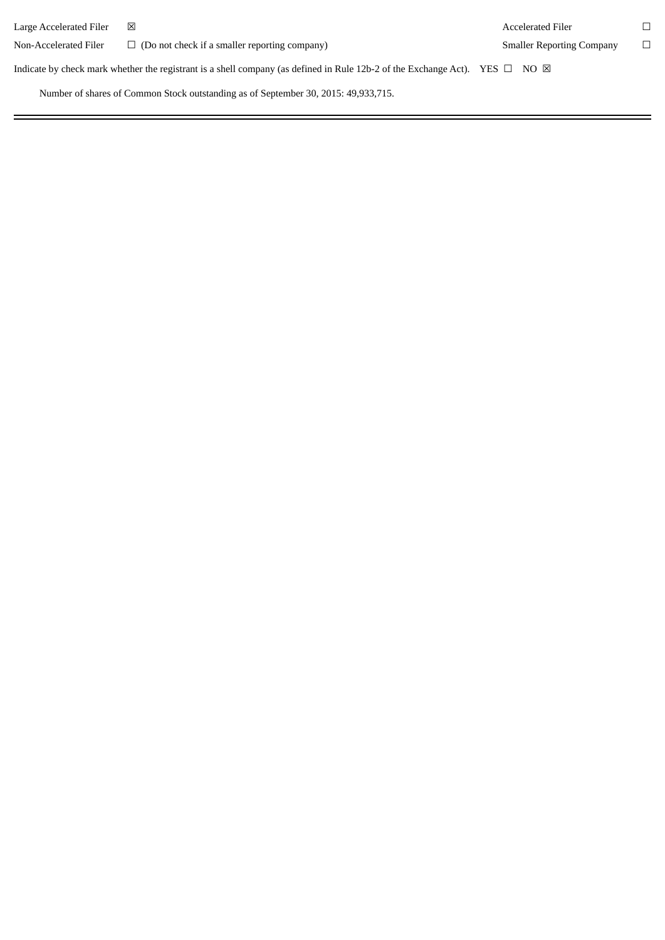| Large Accelerated Filer | ⊠                                                                                                                                          | <b>Accelerated Filer</b>         |        |
|-------------------------|--------------------------------------------------------------------------------------------------------------------------------------------|----------------------------------|--------|
| Non-Accelerated Filer   | $\Box$ (Do not check if a smaller reporting company)                                                                                       | <b>Smaller Reporting Company</b> | $\Box$ |
|                         | Indicate by check mark whether the registrant is a shell company (as defined in Rule 12b-2 of the Exchange Act). YES $\Box$ NO $\boxtimes$ |                                  |        |
|                         | Number of shares of Common Stock outstanding as of September 30, 2015: 49,933,715.                                                         |                                  |        |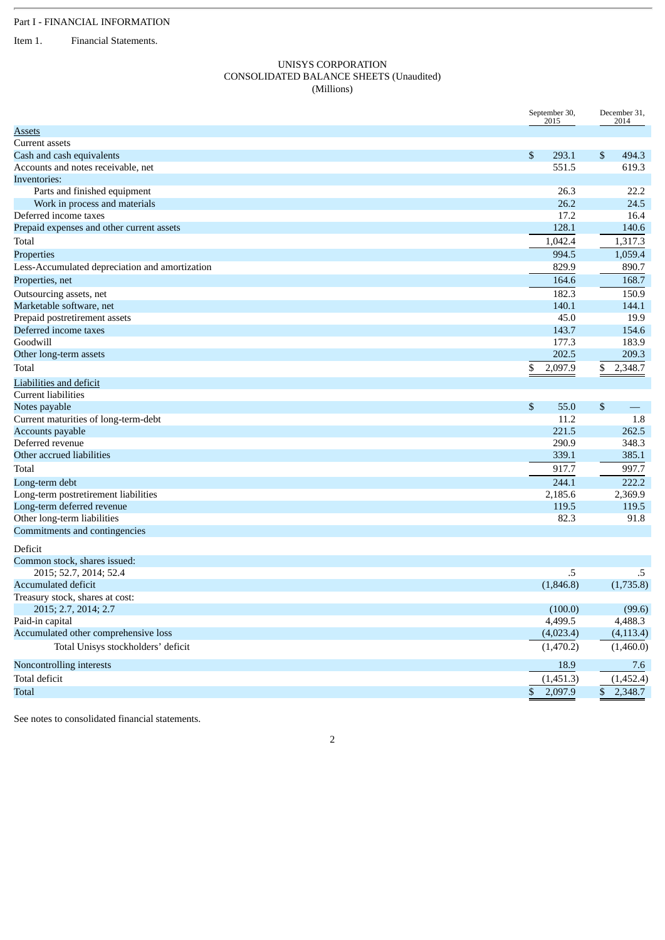## Part I - FINANCIAL INFORMATION

Item 1. Financial Statements.

## UNISYS CORPORATION CONSOLIDATED BALANCE SHEETS (Unaudited) (Millions)

|                                                | September 30,<br>2015 | December 31,<br>2014    |  |
|------------------------------------------------|-----------------------|-------------------------|--|
| <u>Assets</u>                                  |                       |                         |  |
| Current assets                                 |                       |                         |  |
| Cash and cash equivalents                      | \$<br>293.1           | \$<br>494.3             |  |
| Accounts and notes receivable, net             | 551.5                 | 619.3                   |  |
| Inventories:                                   |                       |                         |  |
| Parts and finished equipment                   | 26.3                  | 22.2                    |  |
| Work in process and materials                  | 26.2                  | 24.5                    |  |
| Deferred income taxes                          | 17.2                  | 16.4                    |  |
| Prepaid expenses and other current assets      | 128.1                 | 140.6                   |  |
| Total                                          | 1,042.4               | 1,317.3                 |  |
| Properties                                     | 994.5                 | 1,059.4                 |  |
| Less-Accumulated depreciation and amortization | 829.9                 | 890.7                   |  |
| Properties, net                                | 164.6                 | 168.7                   |  |
| Outsourcing assets, net                        | 182.3                 | 150.9                   |  |
| Marketable software, net                       | 140.1                 | 144.1                   |  |
| Prepaid postretirement assets                  | 45.0                  | 19.9                    |  |
| Deferred income taxes                          | 143.7                 | 154.6                   |  |
| Goodwill                                       | 177.3                 | 183.9                   |  |
| Other long-term assets                         | 202.5                 | 209.3                   |  |
| Total                                          | \$<br>2,097.9         | \$<br>2,348.7           |  |
| Liabilities and deficit                        |                       |                         |  |
| Current liabilities                            |                       |                         |  |
| Notes payable                                  | \$<br>55.0            | \$                      |  |
| Current maturities of long-term-debt           | 11.2                  | 1.8                     |  |
| Accounts payable                               | 221.5                 | 262.5                   |  |
| Deferred revenue                               | 290.9                 | 348.3                   |  |
| Other accrued liabilities                      | 339.1                 | 385.1                   |  |
| Total                                          | 917.7                 | 997.7                   |  |
| Long-term debt                                 | 244.1                 | 222.2                   |  |
| Long-term postretirement liabilities           | 2,185.6               | 2,369.9                 |  |
| Long-term deferred revenue                     | 119.5                 | 119.5                   |  |
| Other long-term liabilities                    | 82.3                  | 91.8                    |  |
| Commitments and contingencies                  |                       |                         |  |
| Deficit                                        |                       |                         |  |
| Common stock, shares issued:                   |                       |                         |  |
| 2015; 52.7, 2014; 52.4                         | .5                    | .5                      |  |
| <b>Accumulated deficit</b>                     | (1,846.8)             | (1,735.8)               |  |
| Treasury stock, shares at cost:                |                       |                         |  |
| 2015; 2.7, 2014; 2.7                           | (100.0)               | (99.6)                  |  |
| Paid-in capital                                | 4,499.5               | 4,488.3                 |  |
| Accumulated other comprehensive loss           | (4,023.4)             | (4, 113.4)              |  |
| Total Unisys stockholders' deficit             | (1,470.2)             | (1,460.0)               |  |
| Noncontrolling interests                       | 18.9                  | 7.6                     |  |
| Total deficit                                  | (1,451.3)             | (1,452.4)               |  |
| Total                                          | \$<br>2,097.9         | $\mathbb{S}$<br>2,348.7 |  |

See notes to consolidated financial statements.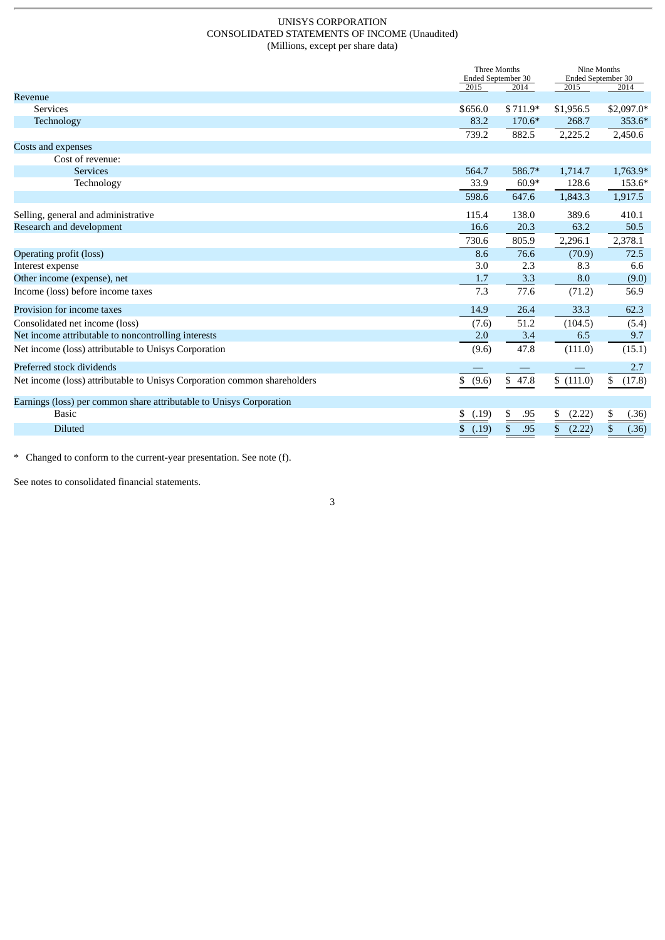#### UNISYS CORPORATION CONSOLIDATED STATEMENTS OF INCOME (Unaudited) (Millions, except per share data)

|                                                                          |             | Three Months<br>Ended September 30 |              | Nine Months<br>Ended September 30 |
|--------------------------------------------------------------------------|-------------|------------------------------------|--------------|-----------------------------------|
|                                                                          | 2015        | 2014                               | 2015         | 2014                              |
| Revenue                                                                  |             |                                    |              |                                   |
| <b>Services</b>                                                          | \$656.0     | $$711.9*$                          | \$1,956.5    | \$2,097.0*                        |
| Technology                                                               | 83.2        | 170.6*                             | 268.7        | 353.6*                            |
|                                                                          | 739.2       | 882.5                              | 2,225.2      | 2,450.6                           |
| Costs and expenses                                                       |             |                                    |              |                                   |
| Cost of revenue:                                                         |             |                                    |              |                                   |
| <b>Services</b>                                                          | 564.7       | 586.7*                             | 1,714.7      | 1,763.9*                          |
| Technology                                                               | 33.9        | $60.9*$                            | 128.6        | 153.6*                            |
|                                                                          | 598.6       | 647.6                              | 1,843.3      | 1,917.5                           |
| Selling, general and administrative                                      | 115.4       | 138.0                              | 389.6        | 410.1                             |
| Research and development                                                 | 16.6        | 20.3                               | 63.2         | 50.5                              |
|                                                                          | 730.6       | 805.9                              | 2,296.1      | 2,378.1                           |
| Operating profit (loss)                                                  | 8.6         | 76.6                               | (70.9)       | 72.5                              |
| Interest expense                                                         | 3.0         | 2.3                                | 8.3          | 6.6                               |
| Other income (expense), net                                              | 1.7         | 3.3                                | 8.0          | (9.0)                             |
| Income (loss) before income taxes                                        | 7.3         | 77.6                               | (71.2)       | 56.9                              |
| Provision for income taxes                                               | 14.9        | 26.4                               | 33.3         | 62.3                              |
| Consolidated net income (loss)                                           | (7.6)       | 51.2                               | (104.5)      | (5.4)                             |
| Net income attributable to noncontrolling interests                      | 2.0         | 3.4                                | 6.5          | 9.7                               |
| Net income (loss) attributable to Unisys Corporation                     | (9.6)       | 47.8                               | (111.0)      | (15.1)                            |
| Preferred stock dividends                                                |             |                                    |              | 2.7                               |
| Net income (loss) attributable to Unisys Corporation common shareholders | (9.6)<br>\$ | \$47.8                             | \$(111.0)    | (17.8)<br>S.                      |
| Earnings (loss) per common share attributable to Unisys Corporation      |             |                                    |              |                                   |
| <b>Basic</b>                                                             | (.19)<br>\$ | .95<br>\$                          | (2.22)<br>\$ | \$<br>(.36)                       |
| <b>Diluted</b>                                                           | \$<br>(.19) | \$<br>.95                          | \$<br>(2.22) | \$<br>(.36)                       |

\* Changed to conform to the current-year presentation. See note (f).

See notes to consolidated financial statements.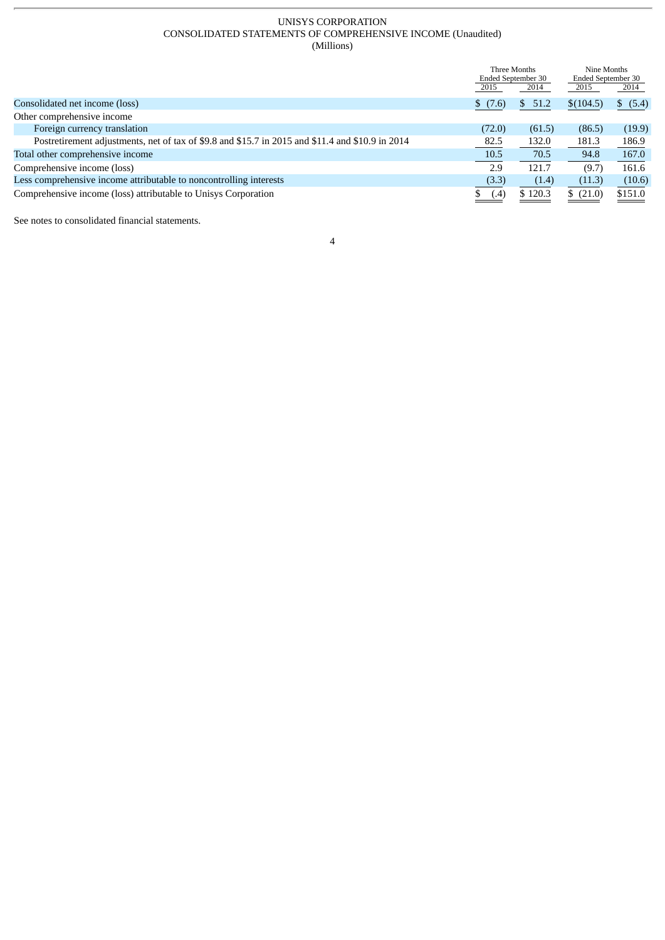#### UNISYS CORPORATION CONSOLIDATED STATEMENTS OF COMPREHENSIVE INCOME (Unaudited) (Millions)

|                                                                                                  | Three Months<br>Ended September 30 |         | Nine Months<br>Ended September 30 |          |
|--------------------------------------------------------------------------------------------------|------------------------------------|---------|-----------------------------------|----------|
|                                                                                                  | 2015                               | 2014    | 2015                              | 2014     |
| Consolidated net income (loss)                                                                   | \$(7.6)                            | \$51.2  | \$(104.5)                         | \$ (5.4) |
| Other comprehensive income                                                                       |                                    |         |                                   |          |
| Foreign currency translation                                                                     | (72.0)                             | (61.5)  | (86.5)                            | (19.9)   |
| Postretirement adjustments, net of tax of \$9.8 and \$15.7 in 2015 and \$11.4 and \$10.9 in 2014 | 82.5                               | 132.0   | 181.3                             | 186.9    |
| Total other comprehensive income                                                                 | 10.5                               | 70.5    | 94.8                              | 167.0    |
| Comprehensive income (loss)                                                                      | 2.9                                | 121.7   | (9.7)                             | 161.6    |
| Less comprehensive income attributable to noncontrolling interests                               | (3.3)                              | (1.4)   | (11.3)                            | (10.6)   |
| Comprehensive income (loss) attributable to Unisys Corporation                                   | (.4)                               | \$120.3 | \$(21.0)                          | \$151.0  |

See notes to consolidated financial statements.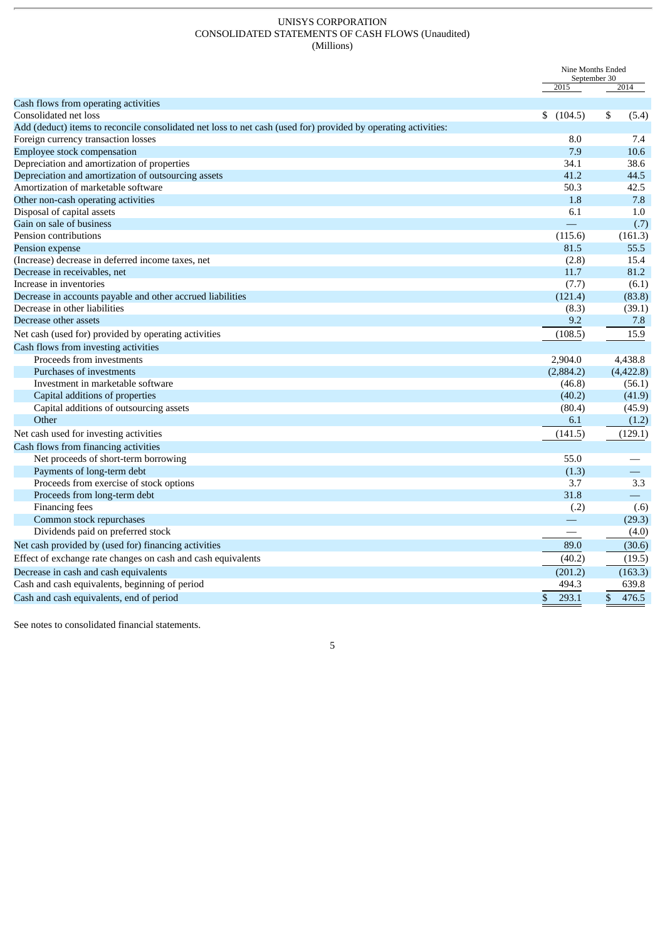#### UNISYS CORPORATION CONSOLIDATED STATEMENTS OF CASH FLOWS (Unaudited) (Millions)

| 2015<br>2014<br>Cash flows from operating activities<br>Consolidated net loss<br>\$<br>\$(104.5)<br>(5.4)<br>Add (deduct) items to reconcile consolidated net loss to net cash (used for) provided by operating activities:<br>Foreign currency transaction losses<br>8.0<br>7.4<br>7.9<br>Employee stock compensation<br>10.6<br>Depreciation and amortization of properties<br>34.1<br>38.6<br>Depreciation and amortization of outsourcing assets<br>41.2<br>44.5<br>Amortization of marketable software<br>50.3<br>42.5<br>Other non-cash operating activities<br>1.8<br>7.8<br>Disposal of capital assets<br>6.1<br>1.0<br>Gain on sale of business<br>(.7)<br>Ш.<br>Pension contributions<br>(115.6)<br>(161.3)<br>81.5<br>55.5<br>Pension expense<br>(Increase) decrease in deferred income taxes, net<br>(2.8)<br>15.4<br>Decrease in receivables, net<br>11.7<br>81.2<br>(7.7)<br>(6.1)<br>Increase in inventories<br>Decrease in accounts payable and other accrued liabilities<br>(121.4)<br>(83.8)<br>Decrease in other liabilities<br>(39.1)<br>(8.3)<br>Decrease other assets<br>9.2<br>7.8<br>15.9<br>Net cash (used for) provided by operating activities<br>(108.5)<br>Cash flows from investing activities<br>Proceeds from investments<br>2,904.0<br>4,438.8<br>(4,422.8)<br>Purchases of investments<br>(2,884.2)<br>Investment in marketable software<br>(46.8)<br>(56.1)<br>Capital additions of properties<br>(40.2)<br>(41.9)<br>Capital additions of outsourcing assets<br>(80.4)<br>(45.9)<br>Other<br>6.1<br>(1.2)<br>(129.1)<br>Net cash used for investing activities<br>(141.5)<br>Cash flows from financing activities<br>Net proceeds of short-term borrowing<br>55.0<br>Payments of long-term debt<br>(1.3)<br>Proceeds from exercise of stock options<br>3.7<br>3.3<br>31.8<br>Proceeds from long-term debt<br>Financing fees<br>(.2)<br>(.6)<br>Common stock repurchases<br>(29.3)<br>$\overline{\phantom{0}}$<br>Dividends paid on preferred stock<br>(4.0)<br>Net cash provided by (used for) financing activities<br>89.0<br>(30.6)<br>Effect of exchange rate changes on cash and cash equivalents<br>(19.5)<br>(40.2)<br>Decrease in cash and cash equivalents<br>(163.3)<br>(201.2)<br>Cash and cash equivalents, beginning of period<br>494.3<br>639.8 |                                          | Nine Months Ended<br>September 30 |                       |
|--------------------------------------------------------------------------------------------------------------------------------------------------------------------------------------------------------------------------------------------------------------------------------------------------------------------------------------------------------------------------------------------------------------------------------------------------------------------------------------------------------------------------------------------------------------------------------------------------------------------------------------------------------------------------------------------------------------------------------------------------------------------------------------------------------------------------------------------------------------------------------------------------------------------------------------------------------------------------------------------------------------------------------------------------------------------------------------------------------------------------------------------------------------------------------------------------------------------------------------------------------------------------------------------------------------------------------------------------------------------------------------------------------------------------------------------------------------------------------------------------------------------------------------------------------------------------------------------------------------------------------------------------------------------------------------------------------------------------------------------------------------------------------------------------------------------------------------------------------------------------------------------------------------------------------------------------------------------------------------------------------------------------------------------------------------------------------------------------------------------------------------------------------------------------------------------------------------------------------------------------------------------------------------------------|------------------------------------------|-----------------------------------|-----------------------|
|                                                                                                                                                                                                                                                                                                                                                                                                                                                                                                                                                                                                                                                                                                                                                                                                                                                                                                                                                                                                                                                                                                                                                                                                                                                                                                                                                                                                                                                                                                                                                                                                                                                                                                                                                                                                                                                                                                                                                                                                                                                                                                                                                                                                                                                                                                  |                                          |                                   |                       |
|                                                                                                                                                                                                                                                                                                                                                                                                                                                                                                                                                                                                                                                                                                                                                                                                                                                                                                                                                                                                                                                                                                                                                                                                                                                                                                                                                                                                                                                                                                                                                                                                                                                                                                                                                                                                                                                                                                                                                                                                                                                                                                                                                                                                                                                                                                  |                                          |                                   |                       |
|                                                                                                                                                                                                                                                                                                                                                                                                                                                                                                                                                                                                                                                                                                                                                                                                                                                                                                                                                                                                                                                                                                                                                                                                                                                                                                                                                                                                                                                                                                                                                                                                                                                                                                                                                                                                                                                                                                                                                                                                                                                                                                                                                                                                                                                                                                  |                                          |                                   |                       |
|                                                                                                                                                                                                                                                                                                                                                                                                                                                                                                                                                                                                                                                                                                                                                                                                                                                                                                                                                                                                                                                                                                                                                                                                                                                                                                                                                                                                                                                                                                                                                                                                                                                                                                                                                                                                                                                                                                                                                                                                                                                                                                                                                                                                                                                                                                  |                                          |                                   |                       |
|                                                                                                                                                                                                                                                                                                                                                                                                                                                                                                                                                                                                                                                                                                                                                                                                                                                                                                                                                                                                                                                                                                                                                                                                                                                                                                                                                                                                                                                                                                                                                                                                                                                                                                                                                                                                                                                                                                                                                                                                                                                                                                                                                                                                                                                                                                  |                                          |                                   |                       |
|                                                                                                                                                                                                                                                                                                                                                                                                                                                                                                                                                                                                                                                                                                                                                                                                                                                                                                                                                                                                                                                                                                                                                                                                                                                                                                                                                                                                                                                                                                                                                                                                                                                                                                                                                                                                                                                                                                                                                                                                                                                                                                                                                                                                                                                                                                  |                                          |                                   |                       |
|                                                                                                                                                                                                                                                                                                                                                                                                                                                                                                                                                                                                                                                                                                                                                                                                                                                                                                                                                                                                                                                                                                                                                                                                                                                                                                                                                                                                                                                                                                                                                                                                                                                                                                                                                                                                                                                                                                                                                                                                                                                                                                                                                                                                                                                                                                  |                                          |                                   |                       |
|                                                                                                                                                                                                                                                                                                                                                                                                                                                                                                                                                                                                                                                                                                                                                                                                                                                                                                                                                                                                                                                                                                                                                                                                                                                                                                                                                                                                                                                                                                                                                                                                                                                                                                                                                                                                                                                                                                                                                                                                                                                                                                                                                                                                                                                                                                  |                                          |                                   |                       |
|                                                                                                                                                                                                                                                                                                                                                                                                                                                                                                                                                                                                                                                                                                                                                                                                                                                                                                                                                                                                                                                                                                                                                                                                                                                                                                                                                                                                                                                                                                                                                                                                                                                                                                                                                                                                                                                                                                                                                                                                                                                                                                                                                                                                                                                                                                  |                                          |                                   |                       |
|                                                                                                                                                                                                                                                                                                                                                                                                                                                                                                                                                                                                                                                                                                                                                                                                                                                                                                                                                                                                                                                                                                                                                                                                                                                                                                                                                                                                                                                                                                                                                                                                                                                                                                                                                                                                                                                                                                                                                                                                                                                                                                                                                                                                                                                                                                  |                                          |                                   |                       |
|                                                                                                                                                                                                                                                                                                                                                                                                                                                                                                                                                                                                                                                                                                                                                                                                                                                                                                                                                                                                                                                                                                                                                                                                                                                                                                                                                                                                                                                                                                                                                                                                                                                                                                                                                                                                                                                                                                                                                                                                                                                                                                                                                                                                                                                                                                  |                                          |                                   |                       |
|                                                                                                                                                                                                                                                                                                                                                                                                                                                                                                                                                                                                                                                                                                                                                                                                                                                                                                                                                                                                                                                                                                                                                                                                                                                                                                                                                                                                                                                                                                                                                                                                                                                                                                                                                                                                                                                                                                                                                                                                                                                                                                                                                                                                                                                                                                  |                                          |                                   |                       |
|                                                                                                                                                                                                                                                                                                                                                                                                                                                                                                                                                                                                                                                                                                                                                                                                                                                                                                                                                                                                                                                                                                                                                                                                                                                                                                                                                                                                                                                                                                                                                                                                                                                                                                                                                                                                                                                                                                                                                                                                                                                                                                                                                                                                                                                                                                  |                                          |                                   |                       |
|                                                                                                                                                                                                                                                                                                                                                                                                                                                                                                                                                                                                                                                                                                                                                                                                                                                                                                                                                                                                                                                                                                                                                                                                                                                                                                                                                                                                                                                                                                                                                                                                                                                                                                                                                                                                                                                                                                                                                                                                                                                                                                                                                                                                                                                                                                  |                                          |                                   |                       |
|                                                                                                                                                                                                                                                                                                                                                                                                                                                                                                                                                                                                                                                                                                                                                                                                                                                                                                                                                                                                                                                                                                                                                                                                                                                                                                                                                                                                                                                                                                                                                                                                                                                                                                                                                                                                                                                                                                                                                                                                                                                                                                                                                                                                                                                                                                  |                                          |                                   |                       |
|                                                                                                                                                                                                                                                                                                                                                                                                                                                                                                                                                                                                                                                                                                                                                                                                                                                                                                                                                                                                                                                                                                                                                                                                                                                                                                                                                                                                                                                                                                                                                                                                                                                                                                                                                                                                                                                                                                                                                                                                                                                                                                                                                                                                                                                                                                  |                                          |                                   |                       |
|                                                                                                                                                                                                                                                                                                                                                                                                                                                                                                                                                                                                                                                                                                                                                                                                                                                                                                                                                                                                                                                                                                                                                                                                                                                                                                                                                                                                                                                                                                                                                                                                                                                                                                                                                                                                                                                                                                                                                                                                                                                                                                                                                                                                                                                                                                  |                                          |                                   |                       |
|                                                                                                                                                                                                                                                                                                                                                                                                                                                                                                                                                                                                                                                                                                                                                                                                                                                                                                                                                                                                                                                                                                                                                                                                                                                                                                                                                                                                                                                                                                                                                                                                                                                                                                                                                                                                                                                                                                                                                                                                                                                                                                                                                                                                                                                                                                  |                                          |                                   |                       |
|                                                                                                                                                                                                                                                                                                                                                                                                                                                                                                                                                                                                                                                                                                                                                                                                                                                                                                                                                                                                                                                                                                                                                                                                                                                                                                                                                                                                                                                                                                                                                                                                                                                                                                                                                                                                                                                                                                                                                                                                                                                                                                                                                                                                                                                                                                  |                                          |                                   |                       |
|                                                                                                                                                                                                                                                                                                                                                                                                                                                                                                                                                                                                                                                                                                                                                                                                                                                                                                                                                                                                                                                                                                                                                                                                                                                                                                                                                                                                                                                                                                                                                                                                                                                                                                                                                                                                                                                                                                                                                                                                                                                                                                                                                                                                                                                                                                  |                                          |                                   |                       |
|                                                                                                                                                                                                                                                                                                                                                                                                                                                                                                                                                                                                                                                                                                                                                                                                                                                                                                                                                                                                                                                                                                                                                                                                                                                                                                                                                                                                                                                                                                                                                                                                                                                                                                                                                                                                                                                                                                                                                                                                                                                                                                                                                                                                                                                                                                  |                                          |                                   |                       |
|                                                                                                                                                                                                                                                                                                                                                                                                                                                                                                                                                                                                                                                                                                                                                                                                                                                                                                                                                                                                                                                                                                                                                                                                                                                                                                                                                                                                                                                                                                                                                                                                                                                                                                                                                                                                                                                                                                                                                                                                                                                                                                                                                                                                                                                                                                  |                                          |                                   |                       |
|                                                                                                                                                                                                                                                                                                                                                                                                                                                                                                                                                                                                                                                                                                                                                                                                                                                                                                                                                                                                                                                                                                                                                                                                                                                                                                                                                                                                                                                                                                                                                                                                                                                                                                                                                                                                                                                                                                                                                                                                                                                                                                                                                                                                                                                                                                  |                                          |                                   |                       |
|                                                                                                                                                                                                                                                                                                                                                                                                                                                                                                                                                                                                                                                                                                                                                                                                                                                                                                                                                                                                                                                                                                                                                                                                                                                                                                                                                                                                                                                                                                                                                                                                                                                                                                                                                                                                                                                                                                                                                                                                                                                                                                                                                                                                                                                                                                  |                                          |                                   |                       |
|                                                                                                                                                                                                                                                                                                                                                                                                                                                                                                                                                                                                                                                                                                                                                                                                                                                                                                                                                                                                                                                                                                                                                                                                                                                                                                                                                                                                                                                                                                                                                                                                                                                                                                                                                                                                                                                                                                                                                                                                                                                                                                                                                                                                                                                                                                  |                                          |                                   |                       |
|                                                                                                                                                                                                                                                                                                                                                                                                                                                                                                                                                                                                                                                                                                                                                                                                                                                                                                                                                                                                                                                                                                                                                                                                                                                                                                                                                                                                                                                                                                                                                                                                                                                                                                                                                                                                                                                                                                                                                                                                                                                                                                                                                                                                                                                                                                  |                                          |                                   |                       |
|                                                                                                                                                                                                                                                                                                                                                                                                                                                                                                                                                                                                                                                                                                                                                                                                                                                                                                                                                                                                                                                                                                                                                                                                                                                                                                                                                                                                                                                                                                                                                                                                                                                                                                                                                                                                                                                                                                                                                                                                                                                                                                                                                                                                                                                                                                  |                                          |                                   |                       |
|                                                                                                                                                                                                                                                                                                                                                                                                                                                                                                                                                                                                                                                                                                                                                                                                                                                                                                                                                                                                                                                                                                                                                                                                                                                                                                                                                                                                                                                                                                                                                                                                                                                                                                                                                                                                                                                                                                                                                                                                                                                                                                                                                                                                                                                                                                  |                                          |                                   |                       |
|                                                                                                                                                                                                                                                                                                                                                                                                                                                                                                                                                                                                                                                                                                                                                                                                                                                                                                                                                                                                                                                                                                                                                                                                                                                                                                                                                                                                                                                                                                                                                                                                                                                                                                                                                                                                                                                                                                                                                                                                                                                                                                                                                                                                                                                                                                  |                                          |                                   |                       |
|                                                                                                                                                                                                                                                                                                                                                                                                                                                                                                                                                                                                                                                                                                                                                                                                                                                                                                                                                                                                                                                                                                                                                                                                                                                                                                                                                                                                                                                                                                                                                                                                                                                                                                                                                                                                                                                                                                                                                                                                                                                                                                                                                                                                                                                                                                  |                                          |                                   |                       |
|                                                                                                                                                                                                                                                                                                                                                                                                                                                                                                                                                                                                                                                                                                                                                                                                                                                                                                                                                                                                                                                                                                                                                                                                                                                                                                                                                                                                                                                                                                                                                                                                                                                                                                                                                                                                                                                                                                                                                                                                                                                                                                                                                                                                                                                                                                  |                                          |                                   |                       |
|                                                                                                                                                                                                                                                                                                                                                                                                                                                                                                                                                                                                                                                                                                                                                                                                                                                                                                                                                                                                                                                                                                                                                                                                                                                                                                                                                                                                                                                                                                                                                                                                                                                                                                                                                                                                                                                                                                                                                                                                                                                                                                                                                                                                                                                                                                  |                                          |                                   |                       |
|                                                                                                                                                                                                                                                                                                                                                                                                                                                                                                                                                                                                                                                                                                                                                                                                                                                                                                                                                                                                                                                                                                                                                                                                                                                                                                                                                                                                                                                                                                                                                                                                                                                                                                                                                                                                                                                                                                                                                                                                                                                                                                                                                                                                                                                                                                  |                                          |                                   |                       |
|                                                                                                                                                                                                                                                                                                                                                                                                                                                                                                                                                                                                                                                                                                                                                                                                                                                                                                                                                                                                                                                                                                                                                                                                                                                                                                                                                                                                                                                                                                                                                                                                                                                                                                                                                                                                                                                                                                                                                                                                                                                                                                                                                                                                                                                                                                  |                                          |                                   |                       |
|                                                                                                                                                                                                                                                                                                                                                                                                                                                                                                                                                                                                                                                                                                                                                                                                                                                                                                                                                                                                                                                                                                                                                                                                                                                                                                                                                                                                                                                                                                                                                                                                                                                                                                                                                                                                                                                                                                                                                                                                                                                                                                                                                                                                                                                                                                  |                                          |                                   |                       |
|                                                                                                                                                                                                                                                                                                                                                                                                                                                                                                                                                                                                                                                                                                                                                                                                                                                                                                                                                                                                                                                                                                                                                                                                                                                                                                                                                                                                                                                                                                                                                                                                                                                                                                                                                                                                                                                                                                                                                                                                                                                                                                                                                                                                                                                                                                  |                                          |                                   |                       |
|                                                                                                                                                                                                                                                                                                                                                                                                                                                                                                                                                                                                                                                                                                                                                                                                                                                                                                                                                                                                                                                                                                                                                                                                                                                                                                                                                                                                                                                                                                                                                                                                                                                                                                                                                                                                                                                                                                                                                                                                                                                                                                                                                                                                                                                                                                  |                                          |                                   |                       |
|                                                                                                                                                                                                                                                                                                                                                                                                                                                                                                                                                                                                                                                                                                                                                                                                                                                                                                                                                                                                                                                                                                                                                                                                                                                                                                                                                                                                                                                                                                                                                                                                                                                                                                                                                                                                                                                                                                                                                                                                                                                                                                                                                                                                                                                                                                  |                                          |                                   |                       |
|                                                                                                                                                                                                                                                                                                                                                                                                                                                                                                                                                                                                                                                                                                                                                                                                                                                                                                                                                                                                                                                                                                                                                                                                                                                                                                                                                                                                                                                                                                                                                                                                                                                                                                                                                                                                                                                                                                                                                                                                                                                                                                                                                                                                                                                                                                  |                                          |                                   |                       |
|                                                                                                                                                                                                                                                                                                                                                                                                                                                                                                                                                                                                                                                                                                                                                                                                                                                                                                                                                                                                                                                                                                                                                                                                                                                                                                                                                                                                                                                                                                                                                                                                                                                                                                                                                                                                                                                                                                                                                                                                                                                                                                                                                                                                                                                                                                  |                                          |                                   |                       |
|                                                                                                                                                                                                                                                                                                                                                                                                                                                                                                                                                                                                                                                                                                                                                                                                                                                                                                                                                                                                                                                                                                                                                                                                                                                                                                                                                                                                                                                                                                                                                                                                                                                                                                                                                                                                                                                                                                                                                                                                                                                                                                                                                                                                                                                                                                  |                                          |                                   |                       |
|                                                                                                                                                                                                                                                                                                                                                                                                                                                                                                                                                                                                                                                                                                                                                                                                                                                                                                                                                                                                                                                                                                                                                                                                                                                                                                                                                                                                                                                                                                                                                                                                                                                                                                                                                                                                                                                                                                                                                                                                                                                                                                                                                                                                                                                                                                  | Cash and cash equivalents, end of period | \$<br>293.1                       | 476.5<br>$\mathbb{S}$ |

5

See notes to consolidated financial statements.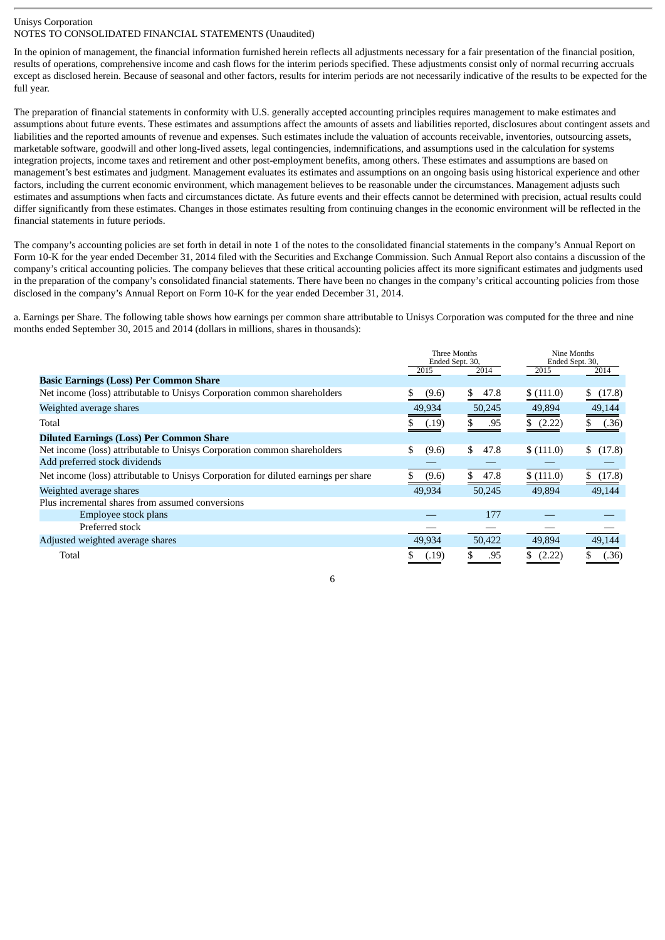#### Unisys Corporation NOTES TO CONSOLIDATED FINANCIAL STATEMENTS (Unaudited)

In the opinion of management, the financial information furnished herein reflects all adjustments necessary for a fair presentation of the financial position, results of operations, comprehensive income and cash flows for the interim periods specified. These adjustments consist only of normal recurring accruals except as disclosed herein. Because of seasonal and other factors, results for interim periods are not necessarily indicative of the results to be expected for the full year.

The preparation of financial statements in conformity with U.S. generally accepted accounting principles requires management to make estimates and assumptions about future events. These estimates and assumptions affect the amounts of assets and liabilities reported, disclosures about contingent assets and liabilities and the reported amounts of revenue and expenses. Such estimates include the valuation of accounts receivable, inventories, outsourcing assets, marketable software, goodwill and other long-lived assets, legal contingencies, indemnifications, and assumptions used in the calculation for systems integration projects, income taxes and retirement and other post-employment benefits, among others. These estimates and assumptions are based on management's best estimates and judgment. Management evaluates its estimates and assumptions on an ongoing basis using historical experience and other factors, including the current economic environment, which management believes to be reasonable under the circumstances. Management adjusts such estimates and assumptions when facts and circumstances dictate. As future events and their effects cannot be determined with precision, actual results could differ significantly from these estimates. Changes in those estimates resulting from continuing changes in the economic environment will be reflected in the financial statements in future periods.

The company's accounting policies are set forth in detail in note 1 of the notes to the consolidated financial statements in the company's Annual Report on Form 10-K for the year ended December 31, 2014 filed with the Securities and Exchange Commission. Such Annual Report also contains a discussion of the company's critical accounting policies. The company believes that these critical accounting policies affect its more significant estimates and judgments used in the preparation of the company's consolidated financial statements. There have been no changes in the company's critical accounting policies from those disclosed in the company's Annual Report on Form 10-K for the year ended December 31, 2014.

a. Earnings per Share. The following table shows how earnings per common share attributable to Unisys Corporation was computed for the three and nine months ended September 30, 2015 and 2014 (dollars in millions, shares in thousands):

|                                                                                     | Three Months<br>Ended Sept. 30,<br>2015<br>2014 |             | Nine Months<br>Ended Sept. 30,<br>2015 | 2014         |
|-------------------------------------------------------------------------------------|-------------------------------------------------|-------------|----------------------------------------|--------------|
| <b>Basic Earnings (Loss) Per Common Share</b>                                       |                                                 |             |                                        |              |
| Net income (loss) attributable to Unisys Corporation common shareholders            | (9.6)<br>S                                      | 47.8<br>\$  | \$(111.0)                              | (17.8)<br>\$ |
| Weighted average shares                                                             | 49,934                                          | 50,245      | 49,894                                 | 49,144       |
| Total                                                                               | (.19)                                           | .95<br>S.   | \$(2.22)                               | (.36)        |
| <b>Diluted Earnings (Loss) Per Common Share</b>                                     |                                                 |             |                                        |              |
| Net income (loss) attributable to Unisys Corporation common shareholders            | \$<br>(9.6)                                     | \$<br>47.8  | \$(111.0)                              | (17.8)       |
| Add preferred stock dividends                                                       |                                                 |             |                                        |              |
| Net income (loss) attributable to Unisys Corporation for diluted earnings per share | (9.6)                                           | \$.<br>47.8 | \$(111.0)                              | (17.8)       |
| Weighted average shares                                                             | 49,934                                          | 50,245      | 49,894                                 | 49,144       |
| Plus incremental shares from assumed conversions                                    |                                                 |             |                                        |              |
| Employee stock plans                                                                |                                                 | 177         |                                        |              |
| Preferred stock                                                                     |                                                 |             |                                        |              |
| Adjusted weighted average shares                                                    | 49,934                                          | 50,422      | 49,894                                 | 49,144       |
| Total                                                                               | .19                                             | .95         |                                        | (.36)        |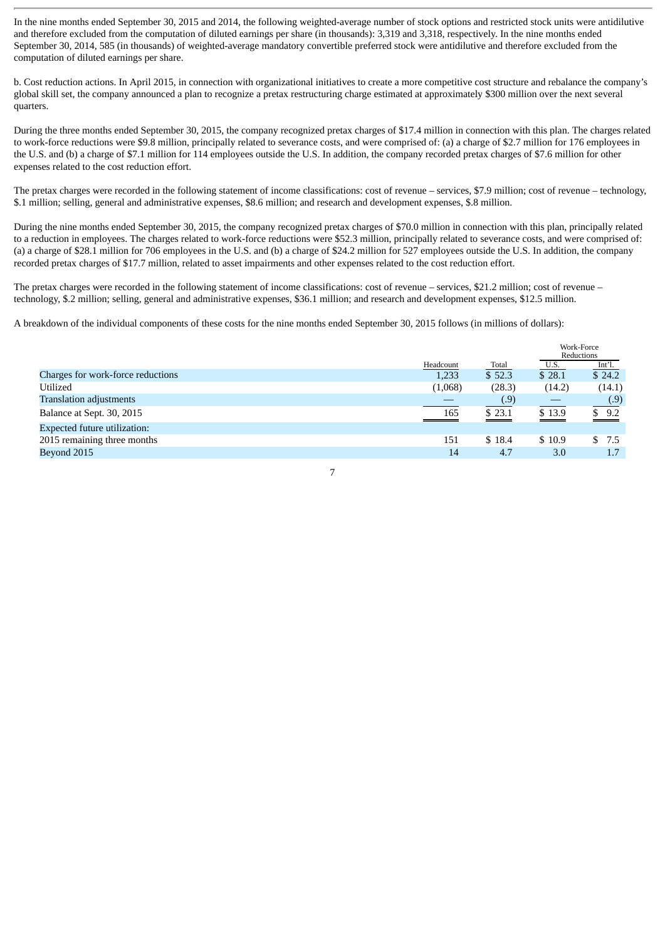In the nine months ended September 30, 2015 and 2014, the following weighted-average number of stock options and restricted stock units were antidilutive and therefore excluded from the computation of diluted earnings per share (in thousands): 3,319 and 3,318, respectively. In the nine months ended September 30, 2014, 585 (in thousands) of weighted-average mandatory convertible preferred stock were antidilutive and therefore excluded from the computation of diluted earnings per share.

b. Cost reduction actions. In April 2015, in connection with organizational initiatives to create a more competitive cost structure and rebalance the company's global skill set, the company announced a plan to recognize a pretax restructuring charge estimated at approximately \$300 million over the next several quarters.

During the three months ended September 30, 2015, the company recognized pretax charges of \$17.4 million in connection with this plan. The charges related to work-force reductions were \$9.8 million, principally related to severance costs, and were comprised of: (a) a charge of \$2.7 million for 176 employees in the U.S. and (b) a charge of \$7.1 million for 114 employees outside the U.S. In addition, the company recorded pretax charges of \$7.6 million for other expenses related to the cost reduction effort.

The pretax charges were recorded in the following statement of income classifications: cost of revenue – services, \$7.9 million; cost of revenue – technology, \$.1 million; selling, general and administrative expenses, \$8.6 million; and research and development expenses, \$.8 million.

During the nine months ended September 30, 2015, the company recognized pretax charges of \$70.0 million in connection with this plan, principally related to a reduction in employees. The charges related to work-force reductions were \$52.3 million, principally related to severance costs, and were comprised of: (a) a charge of \$28.1 million for 706 employees in the U.S. and (b) a charge of \$24.2 million for 527 employees outside the U.S. In addition, the company recorded pretax charges of \$17.7 million, related to asset impairments and other expenses related to the cost reduction effort.

The pretax charges were recorded in the following statement of income classifications: cost of revenue – services, \$21.2 million; cost of revenue – technology, \$.2 million; selling, general and administrative expenses, \$36.1 million; and research and development expenses, \$12.5 million.

A breakdown of the individual components of these costs for the nine months ended September 30, 2015 follows (in millions of dollars):

|                                     |           |         | Reductions | Work-Force      |
|-------------------------------------|-----------|---------|------------|-----------------|
|                                     | Headcount | Total   | U.S.       | $Int'$ l.       |
| Charges for work-force reductions   | 1,233     | \$52.3  | \$28.1     | \$24.2          |
| Utilized                            | (1,068)   | (28.3)  | (14.2)     | (14.1)          |
| <b>Translation adjustments</b>      |           | (0.9)   |            | (.9)            |
| Balance at Sept. 30, 2015           | 165       | \$ 23.1 | \$13.9     | \$9.2<br>$\sim$ |
| <b>Expected future utilization:</b> |           |         |            |                 |
| 2015 remaining three months         | 151       | \$18.4  | \$10.9     | \$7.5           |
| Beyond 2015                         | 14        | 4.7     | 3.0        | 1.7             |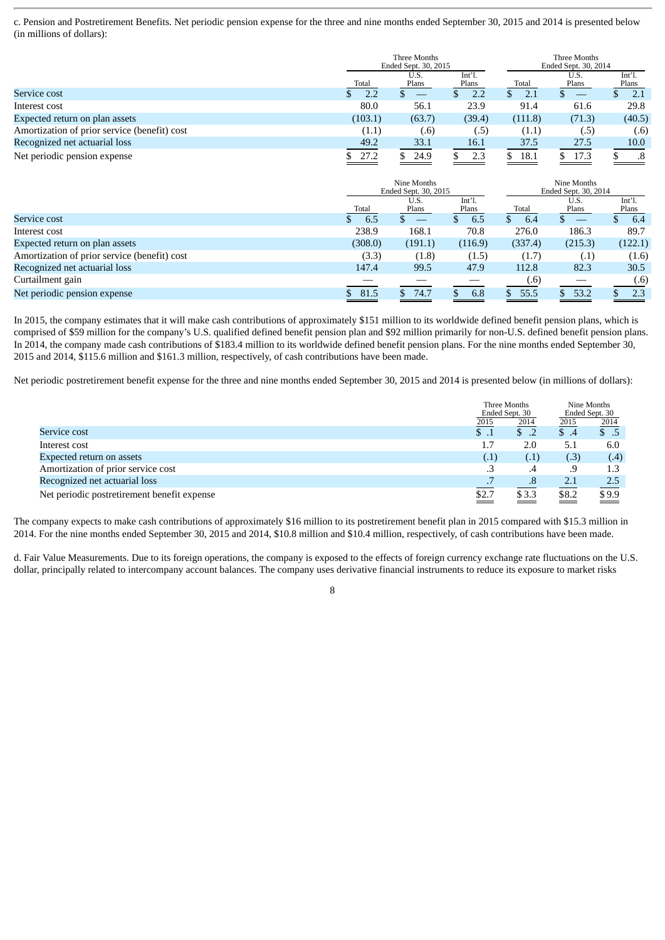c. Pension and Postretirement Benefits. Net periodic pension expense for the three and nine months ended September 30, 2015 and 2014 is presented below (in millions of dollars):

|                                              | Three Months<br>Ended Sept. 30, 2015 |                                     |                   | Three Months<br>Ended Sept. 30, 2014 |                                     |                    |
|----------------------------------------------|--------------------------------------|-------------------------------------|-------------------|--------------------------------------|-------------------------------------|--------------------|
|                                              | Total                                | U.S.<br>Plans                       | $Int'$ .<br>Plans | Total                                | U.S.<br>Plans                       | $Int'$ l.<br>Plans |
| Service cost                                 | 2.2                                  |                                     | 2.2<br>\$         | \$<br>2.1                            | \$.                                 | 2.1                |
| Interest cost                                | 80.0                                 | 56.1                                | 23.9              | 91.4                                 | 61.6                                | 29.8               |
| Expected return on plan assets               | (103.1)                              | (63.7)                              | (39.4)            | (111.8)                              | (71.3)                              | (40.5)             |
| Amortization of prior service (benefit) cost | (1.1)                                | (.6)                                | (.5)              | (1.1)                                | (.5)                                | (.6)               |
| Recognized net actuarial loss                | 49.2                                 | 33.1                                | 16.1              | 37.5                                 | 27.5                                | 10.0               |
| Net periodic pension expense                 | 27.2                                 | \$.<br>24.9                         | 2.3               | \$<br>18.1                           | \$<br>17.3                          | \$<br>$.8\,$       |
|                                              |                                      | Nine Months<br>Ended Sept. 30, 2015 |                   |                                      | Nine Months<br>Ended Sept. 30, 2014 |                    |
|                                              | Total                                | U.S.<br>Plans                       | Int'l.<br>Plans   | Total                                | U.S.<br>Plans                       | Int'l.<br>Plans    |
| Service cost                                 | $\mathbf{s}$<br>6.5                  |                                     | \$<br>6.5         | $\mathbf{s}$<br>6.4                  |                                     | \$<br>6.4          |
| Interest cost                                | 238.9                                | 168.1                               | 70.8              | 276.0                                | 186.3                               | 89.7               |
| Expected return on plan assets               | (308.0)                              | (191.1)                             | (116.9)           | (337.4)                              | (215.3)                             | (122.1)            |
| Amortization of prior service (benefit) cost | (3.3)                                | (1.8)                               | (1.5)             | (1.7)                                | (.1)                                | (1.6)              |
| Recognized net actuarial loss                | 147.4                                | 99.5                                | 47.9              | 112.8                                | 82.3                                | 30.5               |
| Curtailment gain                             |                                      |                                     |                   | (.6)                                 |                                     | (.6)               |

In 2015, the company estimates that it will make cash contributions of approximately \$151 million to its worldwide defined benefit pension plans, which is comprised of \$59 million for the company's U.S. qualified defined benefit pension plan and \$92 million primarily for non-U.S. defined benefit pension plans. In 2014, the company made cash contributions of \$183.4 million to its worldwide defined benefit pension plans. For the nine months ended September 30, 2015 and 2014, \$115.6 million and \$161.3 million, respectively, of cash contributions have been made.

Net periodic pension expense 5 81.5 \$ 81.5 \$ 74.7 \$ 6.8 \$ 55.5 \$ 53.2 \$ 2.3

Net periodic postretirement benefit expense for the three and nine months ended September 30, 2015 and 2014 is presented below (in millions of dollars):

|                                             |           | Three Months<br>Ended Sept. 30 |                 | Nine Months<br>Ended Sept. 30 |
|---------------------------------------------|-----------|--------------------------------|-----------------|-------------------------------|
|                                             | 2015      | 2014                           | 2015            | 2014                          |
| Service cost                                | $\sim$ .1 | $\texttt{\$}$ .2               | $\mathsf{S}$ .4 | \$.5                          |
| Interest cost                               | 1.7       | 2.0                            | 5.1             | 6.0                           |
| Expected return on assets                   | (.1)      | (.1)                           | (.3)            | (.4)                          |
| Amortization of prior service cost          | .3        |                                | .9              | 1.3                           |
| Recognized net actuarial loss               |           |                                | 2.1             | 2.5                           |
| Net periodic postretirement benefit expense | \$2.7     | \$3.3                          | \$8.2           | \$9.9                         |

The company expects to make cash contributions of approximately \$16 million to its postretirement benefit plan in 2015 compared with \$15.3 million in 2014. For the nine months ended September 30, 2015 and 2014, \$10.8 million and \$10.4 million, respectively, of cash contributions have been made.

d. Fair Value Measurements. Due to its foreign operations, the company is exposed to the effects of foreign currency exchange rate fluctuations on the U.S. dollar, principally related to intercompany account balances. The company uses derivative financial instruments to reduce its exposure to market risks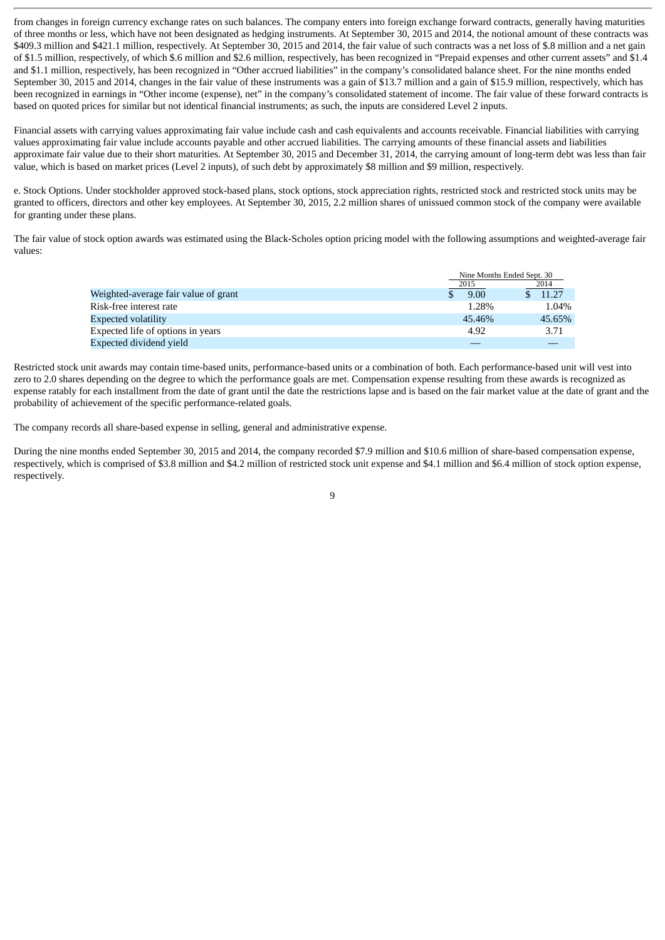from changes in foreign currency exchange rates on such balances. The company enters into foreign exchange forward contracts, generally having maturities of three months or less, which have not been designated as hedging instruments. At September 30, 2015 and 2014, the notional amount of these contracts was \$409.3 million and \$421.1 million, respectively. At September 30, 2015 and 2014, the fair value of such contracts was a net loss of \$.8 million and a net gain of \$1.5 million, respectively, of which \$.6 million and \$2.6 million, respectively, has been recognized in "Prepaid expenses and other current assets" and \$1.4 and \$1.1 million, respectively, has been recognized in "Other accrued liabilities" in the company's consolidated balance sheet. For the nine months ended September 30, 2015 and 2014, changes in the fair value of these instruments was a gain of \$13.7 million and a gain of \$15.9 million, respectively, which has been recognized in earnings in "Other income (expense), net" in the company's consolidated statement of income. The fair value of these forward contracts is based on quoted prices for similar but not identical financial instruments; as such, the inputs are considered Level 2 inputs.

Financial assets with carrying values approximating fair value include cash and cash equivalents and accounts receivable. Financial liabilities with carrying values approximating fair value include accounts payable and other accrued liabilities. The carrying amounts of these financial assets and liabilities approximate fair value due to their short maturities. At September 30, 2015 and December 31, 2014, the carrying amount of long-term debt was less than fair value, which is based on market prices (Level 2 inputs), of such debt by approximately \$8 million and \$9 million, respectively.

e. Stock Options. Under stockholder approved stock-based plans, stock options, stock appreciation rights, restricted stock and restricted stock units may be granted to officers, directors and other key employees. At September 30, 2015, 2.2 million shares of unissued common stock of the company were available for granting under these plans.

The fair value of stock option awards was estimated using the Black-Scholes option pricing model with the following assumptions and weighted-average fair values:

|                                      |        | Nine Months Ended Sept. 30 |
|--------------------------------------|--------|----------------------------|
|                                      | 2015   | 2014                       |
| Weighted-average fair value of grant | 9.00   | 11.27                      |
| Risk-free interest rate              | 1.28%  | 1.04%                      |
| <b>Expected volatility</b>           | 45.46% | 45.65%                     |
| Expected life of options in years    | 4.92   | 3.71                       |
| Expected dividend yield              |        |                            |

Restricted stock unit awards may contain time-based units, performance-based units or a combination of both. Each performance-based unit will vest into zero to 2.0 shares depending on the degree to which the performance goals are met. Compensation expense resulting from these awards is recognized as expense ratably for each installment from the date of grant until the date the restrictions lapse and is based on the fair market value at the date of grant and the probability of achievement of the specific performance-related goals.

The company records all share-based expense in selling, general and administrative expense.

During the nine months ended September 30, 2015 and 2014, the company recorded \$7.9 million and \$10.6 million of share-based compensation expense, respectively, which is comprised of \$3.8 million and \$4.2 million of restricted stock unit expense and \$4.1 million and \$6.4 million of stock option expense, respectively.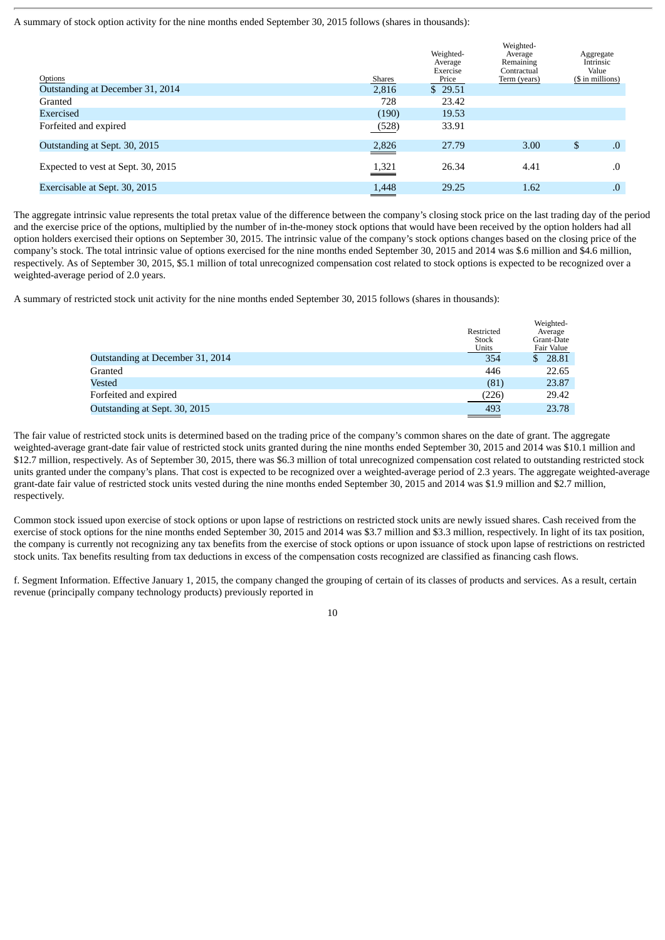A summary of stock option activity for the nine months ended September 30, 2015 follows (shares in thousands):

| Options                            | <b>Shares</b> | Weighted-<br>Average<br>Exercise<br>Price | Weighted-<br>Average<br>Remaining<br>Contractual<br>Term (years) | Aggregate<br>Intrinsic<br>Value<br>(\$ in millions) |
|------------------------------------|---------------|-------------------------------------------|------------------------------------------------------------------|-----------------------------------------------------|
| Outstanding at December 31, 2014   | 2,816         | \$29.51                                   |                                                                  |                                                     |
| Granted                            | 728           | 23.42                                     |                                                                  |                                                     |
| Exercised                          | (190)         | 19.53                                     |                                                                  |                                                     |
| Forfeited and expired              | (528)         | 33.91                                     |                                                                  |                                                     |
| Outstanding at Sept. 30, 2015      | 2,826         | 27.79                                     | 3.00                                                             | \$<br>$\overline{0}$ .                              |
| Expected to vest at Sept. 30, 2015 | 1,321         | 26.34                                     | 4.41                                                             | .0                                                  |
| Exercisable at Sept. 30, 2015      | 1,448         | 29.25                                     | 1.62                                                             | $\bf{0}$ .                                          |
|                                    |               |                                           |                                                                  |                                                     |

The aggregate intrinsic value represents the total pretax value of the difference between the company's closing stock price on the last trading day of the period and the exercise price of the options, multiplied by the number of in-the-money stock options that would have been received by the option holders had all option holders exercised their options on September 30, 2015. The intrinsic value of the company's stock options changes based on the closing price of the company's stock. The total intrinsic value of options exercised for the nine months ended September 30, 2015 and 2014 was \$.6 million and \$4.6 million, respectively. As of September 30, 2015, \$5.1 million of total unrecognized compensation cost related to stock options is expected to be recognized over a weighted-average period of 2.0 years.

A summary of restricted stock unit activity for the nine months ended September 30, 2015 follows (shares in thousands):

|                                  | Restricted<br>Stock<br>Units | weighted-<br>Average<br>Grant-Date<br>Fair Value |
|----------------------------------|------------------------------|--------------------------------------------------|
| Outstanding at December 31, 2014 | 354                          | 28.81<br>\$                                      |
| Granted                          | 446                          | 22.65                                            |
| Vested                           | (81)                         | 23.87                                            |
| Forfeited and expired            | (226)                        | 29.42                                            |
| Outstanding at Sept. 30, 2015    | 493                          | 23.78                                            |

Weighted-

The fair value of restricted stock units is determined based on the trading price of the company's common shares on the date of grant. The aggregate weighted-average grant-date fair value of restricted stock units granted during the nine months ended September 30, 2015 and 2014 was \$10.1 million and \$12.7 million, respectively. As of September 30, 2015, there was \$6.3 million of total unrecognized compensation cost related to outstanding restricted stock units granted under the company's plans. That cost is expected to be recognized over a weighted-average period of 2.3 years. The aggregate weighted-average grant-date fair value of restricted stock units vested during the nine months ended September 30, 2015 and 2014 was \$1.9 million and \$2.7 million, respectively.

Common stock issued upon exercise of stock options or upon lapse of restrictions on restricted stock units are newly issued shares. Cash received from the exercise of stock options for the nine months ended September 30, 2015 and 2014 was \$3.7 million and \$3.3 million, respectively. In light of its tax position, the company is currently not recognizing any tax benefits from the exercise of stock options or upon issuance of stock upon lapse of restrictions on restricted stock units. Tax benefits resulting from tax deductions in excess of the compensation costs recognized are classified as financing cash flows.

f. Segment Information. Effective January 1, 2015, the company changed the grouping of certain of its classes of products and services. As a result, certain revenue (principally company technology products) previously reported in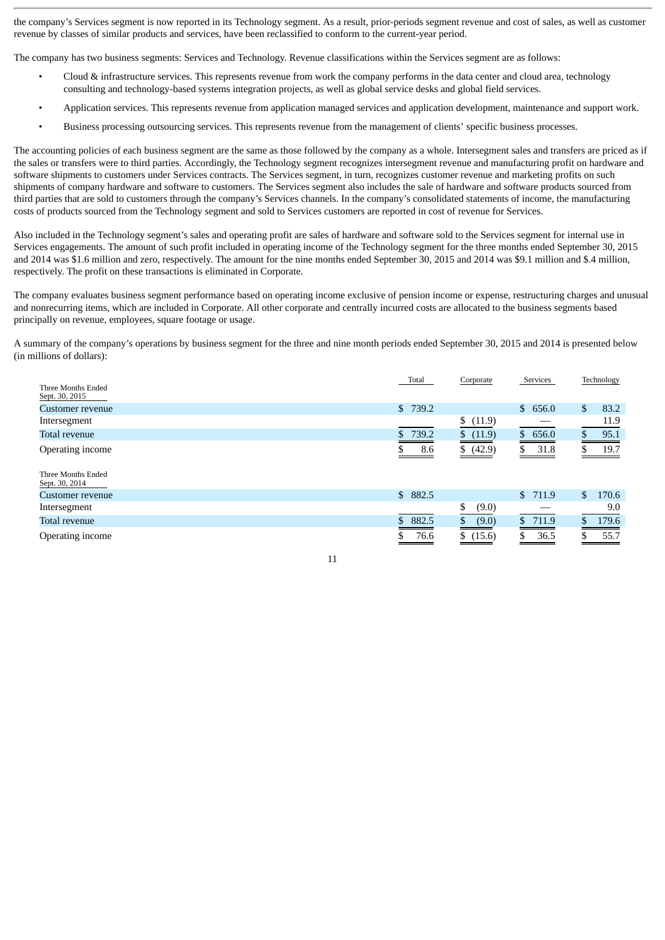the company's Services segment is now reported in its Technology segment. As a result, prior-periods segment revenue and cost of sales, as well as customer revenue by classes of similar products and services, have been reclassified to conform to the current-year period.

The company has two business segments: Services and Technology. Revenue classifications within the Services segment are as follows:

- Cloud & infrastructure services. This represents revenue from work the company performs in the data center and cloud area, technology consulting and technology-based systems integration projects, as well as global service desks and global field services.
- Application services. This represents revenue from application managed services and application development, maintenance and support work.
- Business processing outsourcing services. This represents revenue from the management of clients' specific business processes.

The accounting policies of each business segment are the same as those followed by the company as a whole. Intersegment sales and transfers are priced as if the sales or transfers were to third parties. Accordingly, the Technology segment recognizes intersegment revenue and manufacturing profit on hardware and software shipments to customers under Services contracts. The Services segment, in turn, recognizes customer revenue and marketing profits on such shipments of company hardware and software to customers. The Services segment also includes the sale of hardware and software products sourced from third parties that are sold to customers through the company's Services channels. In the company's consolidated statements of income, the manufacturing costs of products sourced from the Technology segment and sold to Services customers are reported in cost of revenue for Services.

Also included in the Technology segment's sales and operating profit are sales of hardware and software sold to the Services segment for internal use in Services engagements. The amount of such profit included in operating income of the Technology segment for the three months ended September 30, 2015 and 2014 was \$1.6 million and zero, respectively. The amount for the nine months ended September 30, 2015 and 2014 was \$9.1 million and \$.4 million, respectively. The profit on these transactions is eliminated in Corporate.

The company evaluates business segment performance based on operating income exclusive of pension income or expense, restructuring charges and unusual and nonrecurring items, which are included in Corporate. All other corporate and centrally incurred costs are allocated to the business segments based principally on revenue, employees, square footage or usage.

A summary of the company's operations by business segment for the three and nine month periods ended September 30, 2015 and 2014 is presented below (in millions of dollars):

|                                      | Total                 | Corporate    | Services     | Technology  |
|--------------------------------------|-----------------------|--------------|--------------|-------------|
| Three Months Ended<br>Sept. 30, 2015 |                       |              |              |             |
| Customer revenue                     | \$739.2               |              | \$656.0      | \$.<br>83.2 |
| Intersegment                         |                       | \$<br>(11.9) |              | 11.9        |
| Total revenue                        | \$739.2               | \$ (11.9)    | \$656.0      | 95.1        |
| Operating income                     | 8.6                   | (42.9)<br>\$ | 31.8         | 19.7        |
| Three Months Ended<br>Sept. 30, 2014 |                       |              |              |             |
| Customer revenue                     | \$882.5               |              | \$711.9      | \$<br>170.6 |
| Intersegment                         |                       | \$<br>(9.0)  |              | 9.0         |
| Total revenue                        | $\mathbf{s}$<br>882.5 | (9.0)        | \$.<br>711.9 | 179.6<br>\$ |
| Operating income                     | 76.6                  | \$ (15.6)    | 36.5         | 55.7        |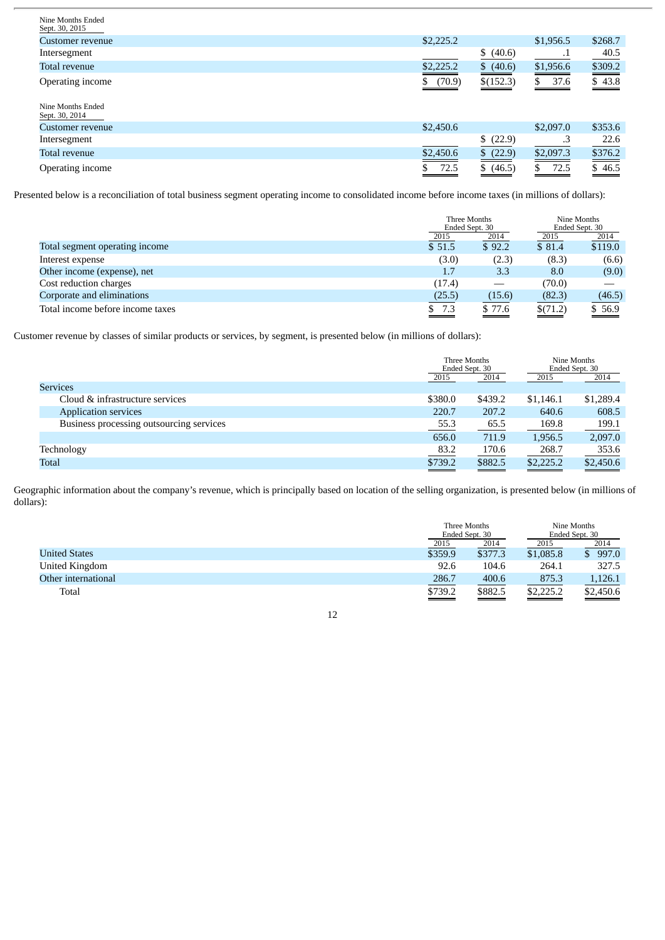| Nine Months Ended<br>Sept. 30, 2015 |              |           |             |         |
|-------------------------------------|--------------|-----------|-------------|---------|
| Customer revenue                    | \$2,225.2    |           | \$1,956.5   | \$268.7 |
| Intersegment                        |              | \$ (40.6) |             | 40.5    |
| Total revenue                       | \$2,225.2    | \$ (40.6) | \$1,956.6   | \$309.2 |
| Operating income                    | (70.9)<br>\$ | \$(152.3) | 37.6<br>\$. | \$43.8  |
| Nine Months Ended<br>Sept. 30, 2014 |              |           |             |         |
| Customer revenue                    | \$2,450.6    |           | \$2,097.0   | \$353.6 |
| Intersegment                        |              | \$ (22.9) | .3          | 22.6    |
| Total revenue                       | \$2,450.6    | \$ (22.9) | \$2,097.3   | \$376.2 |
| Operating income                    | 72.5         | \$ (46.5) | 72.5<br>¢   | \$46.5  |

Presented below is a reconciliation of total business segment operating income to consolidated income before income taxes (in millions of dollars):

|                                  |           | Three Months<br>Ended Sept. 30 |          | Nine Months<br>Ended Sept. 30 |  |
|----------------------------------|-----------|--------------------------------|----------|-------------------------------|--|
|                                  | 2015      | 2014                           | 2015     | 2014                          |  |
| Total segment operating income   | \$51.5    | \$92.2                         | \$81.4   | \$119.0                       |  |
| Interest expense                 | (3.0)     | (2.3)                          | (8.3)    | (6.6)                         |  |
| Other income (expense), net      | 1.7       | 3.3                            | 8.0      | (9.0)                         |  |
| Cost reduction charges           | (17.4)    |                                | (70.0)   |                               |  |
| Corporate and eliminations       | (25.5)    | (15.6)                         | (82.3)   | (46.5)                        |  |
| Total income before income taxes | 7.3<br>\$ | \$77.6                         | \$(71.2) | \$56.9                        |  |

Customer revenue by classes of similar products or services, by segment, is presented below (in millions of dollars):

|                                          |         | Three Months<br>Ended Sept. 30 |           | Nine Months<br>Ended Sept. 30 |
|------------------------------------------|---------|--------------------------------|-----------|-------------------------------|
|                                          | 2015    | 2014                           | 2015      | 2014                          |
| <b>Services</b>                          |         |                                |           |                               |
| Cloud & infrastructure services          | \$380.0 | \$439.2                        | \$1,146.1 | \$1,289.4                     |
| <b>Application services</b>              | 220.7   | 207.2                          | 640.6     | 608.5                         |
| Business processing outsourcing services | 55.3    | 65.5                           | 169.8     | 199.1                         |
|                                          | 656.0   | 711.9                          | 1,956.5   | 2,097.0                       |
| Technology                               | 83.2    | 170.6                          | 268.7     | 353.6                         |
| Total                                    | \$739.2 | \$882.5                        | \$2,225.2 | \$2,450.6                     |

Geographic information about the company's revenue, which is principally based on location of the selling organization, is presented below (in millions of dollars):

|                      |         | Three Months<br>Ended Sept. 30 |           | Nine Months<br>Ended Sept. 30 |  |
|----------------------|---------|--------------------------------|-----------|-------------------------------|--|
|                      | 2015    | 2014                           | 2015      | 2014                          |  |
| <b>United States</b> | \$359.9 | \$377.3                        | \$1,085.8 | \$997.0                       |  |
| United Kingdom       | 92.6    | 104.6                          | 264.1     | 327.5                         |  |
| Other international  | 286.7   | 400.6                          | 875.3     | 1,126.1                       |  |
| Total                | \$739.2 | \$882.5                        | \$2,225.2 | \$2,450.6                     |  |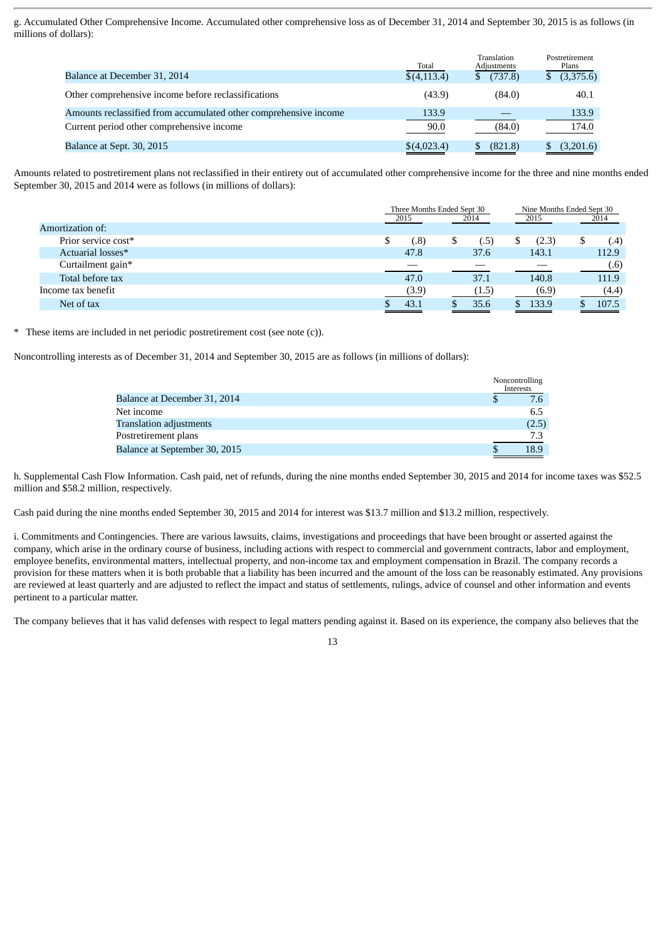g. Accumulated Other Comprehensive Income. Accumulated other comprehensive loss as of December 31, 2014 and September 30, 2015 is as follows (in millions of dollars):

|                                                                  | Total       | Translation<br>Adjustments | Postretirement<br>Plans |
|------------------------------------------------------------------|-------------|----------------------------|-------------------------|
| Balance at December 31, 2014                                     | \$(4,113.4) | (737.8)<br>S.              | (3,375.6)               |
| Other comprehensive income before reclassifications              | (43.9)      | (84.0)                     | 40.1                    |
| Amounts reclassified from accumulated other comprehensive income | 133.9       |                            | 133.9                   |
| Current period other comprehensive income                        | 90.0        | (84.0)                     | 174.0                   |
| Balance at Sept. 30, 2015                                        | \$(4,023.4) | (821.8)                    | (3,201.6)               |

Amounts related to postretirement plans not reclassified in their entirety out of accumulated other comprehensive income for the three and nine months ended September 30, 2015 and 2014 were as follows (in millions of dollars):

|                     |    | Three Months Ended Sept 30 |  |       | Nine Months Ended Sept 30 |       |  |       |
|---------------------|----|----------------------------|--|-------|---------------------------|-------|--|-------|
|                     |    | 2015                       |  | 2014  |                           | 2015  |  | 2014  |
| Amortization of:    |    |                            |  |       |                           |       |  |       |
| Prior service cost* | ۵D | (.8)                       |  | (.5)  |                           | (2.3) |  | (.4)  |
| Actuarial losses*   |    | 47.8                       |  | 37.6  |                           | 143.1 |  | 112.9 |
| Curtailment gain*   |    |                            |  |       |                           |       |  | (.6)  |
| Total before tax    |    | 47.0                       |  | 37.1  |                           | 140.8 |  | 111.9 |
| Income tax benefit  |    | (3.9)                      |  | (1.5) |                           | (6.9) |  | (4.4) |
| Net of tax          |    | 43.1                       |  | 35.6  |                           | 133.9 |  | 107.5 |

\* These items are included in net periodic postretirement cost (see note (c)).

Noncontrolling interests as of December 31, 2014 and September 30, 2015 are as follows (in millions of dollars):

|                                | Noncontrolling<br>Interests |
|--------------------------------|-----------------------------|
| Balance at December 31, 2014   | 7.6                         |
| Net income                     | 6.5                         |
| <b>Translation adjustments</b> | (2.5)                       |
| Postretirement plans           | 7.3                         |
| Balance at September 30, 2015  | 18.9                        |

h. Supplemental Cash Flow Information. Cash paid, net of refunds, during the nine months ended September 30, 2015 and 2014 for income taxes was \$52.5 million and \$58.2 million, respectively.

Cash paid during the nine months ended September 30, 2015 and 2014 for interest was \$13.7 million and \$13.2 million, respectively.

i. Commitments and Contingencies. There are various lawsuits, claims, investigations and proceedings that have been brought or asserted against the company, which arise in the ordinary course of business, including actions with respect to commercial and government contracts, labor and employment, employee benefits, environmental matters, intellectual property, and non-income tax and employment compensation in Brazil. The company records a provision for these matters when it is both probable that a liability has been incurred and the amount of the loss can be reasonably estimated. Any provisions are reviewed at least quarterly and are adjusted to reflect the impact and status of settlements, rulings, advice of counsel and other information and events pertinent to a particular matter.

The company believes that it has valid defenses with respect to legal matters pending against it. Based on its experience, the company also believes that the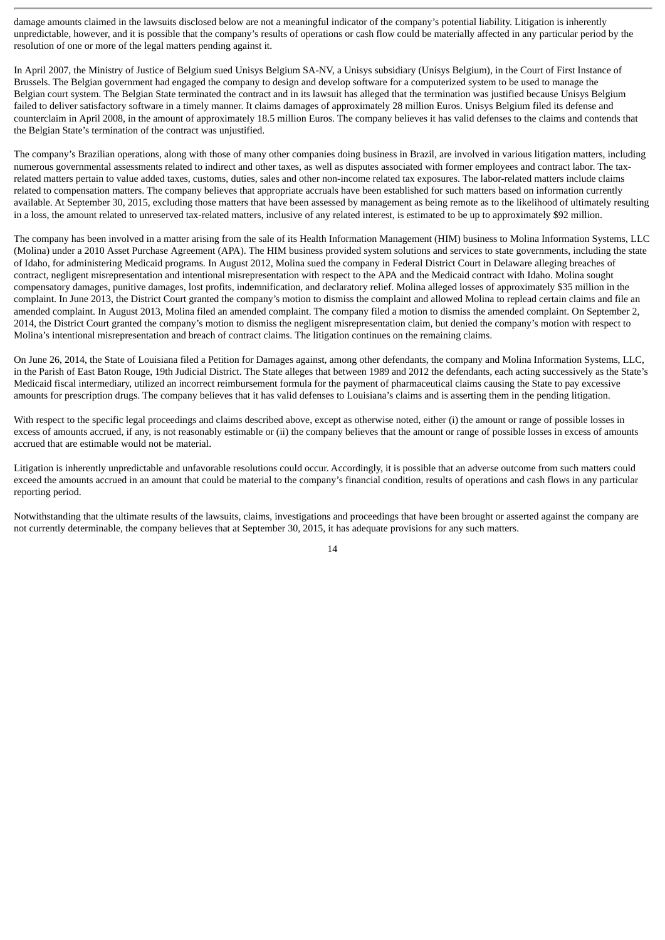damage amounts claimed in the lawsuits disclosed below are not a meaningful indicator of the company's potential liability. Litigation is inherently unpredictable, however, and it is possible that the company's results of operations or cash flow could be materially affected in any particular period by the resolution of one or more of the legal matters pending against it.

In April 2007, the Ministry of Justice of Belgium sued Unisys Belgium SA-NV, a Unisys subsidiary (Unisys Belgium), in the Court of First Instance of Brussels. The Belgian government had engaged the company to design and develop software for a computerized system to be used to manage the Belgian court system. The Belgian State terminated the contract and in its lawsuit has alleged that the termination was justified because Unisys Belgium failed to deliver satisfactory software in a timely manner. It claims damages of approximately 28 million Euros. Unisys Belgium filed its defense and counterclaim in April 2008, in the amount of approximately 18.5 million Euros. The company believes it has valid defenses to the claims and contends that the Belgian State's termination of the contract was unjustified.

The company's Brazilian operations, along with those of many other companies doing business in Brazil, are involved in various litigation matters, including numerous governmental assessments related to indirect and other taxes, as well as disputes associated with former employees and contract labor. The taxrelated matters pertain to value added taxes, customs, duties, sales and other non-income related tax exposures. The labor-related matters include claims related to compensation matters. The company believes that appropriate accruals have been established for such matters based on information currently available. At September 30, 2015, excluding those matters that have been assessed by management as being remote as to the likelihood of ultimately resulting in a loss, the amount related to unreserved tax-related matters, inclusive of any related interest, is estimated to be up to approximately \$92 million.

The company has been involved in a matter arising from the sale of its Health Information Management (HIM) business to Molina Information Systems, LLC (Molina) under a 2010 Asset Purchase Agreement (APA). The HIM business provided system solutions and services to state governments, including the state of Idaho, for administering Medicaid programs. In August 2012, Molina sued the company in Federal District Court in Delaware alleging breaches of contract, negligent misrepresentation and intentional misrepresentation with respect to the APA and the Medicaid contract with Idaho. Molina sought compensatory damages, punitive damages, lost profits, indemnification, and declaratory relief. Molina alleged losses of approximately \$35 million in the complaint. In June 2013, the District Court granted the company's motion to dismiss the complaint and allowed Molina to replead certain claims and file an amended complaint. In August 2013, Molina filed an amended complaint. The company filed a motion to dismiss the amended complaint. On September 2, 2014, the District Court granted the company's motion to dismiss the negligent misrepresentation claim, but denied the company's motion with respect to Molina's intentional misrepresentation and breach of contract claims. The litigation continues on the remaining claims.

On June 26, 2014, the State of Louisiana filed a Petition for Damages against, among other defendants, the company and Molina Information Systems, LLC, in the Parish of East Baton Rouge, 19th Judicial District. The State alleges that between 1989 and 2012 the defendants, each acting successively as the State's Medicaid fiscal intermediary, utilized an incorrect reimbursement formula for the payment of pharmaceutical claims causing the State to pay excessive amounts for prescription drugs. The company believes that it has valid defenses to Louisiana's claims and is asserting them in the pending litigation.

With respect to the specific legal proceedings and claims described above, except as otherwise noted, either (i) the amount or range of possible losses in excess of amounts accrued, if any, is not reasonably estimable or (ii) the company believes that the amount or range of possible losses in excess of amounts accrued that are estimable would not be material.

Litigation is inherently unpredictable and unfavorable resolutions could occur. Accordingly, it is possible that an adverse outcome from such matters could exceed the amounts accrued in an amount that could be material to the company's financial condition, results of operations and cash flows in any particular reporting period.

Notwithstanding that the ultimate results of the lawsuits, claims, investigations and proceedings that have been brought or asserted against the company are not currently determinable, the company believes that at September 30, 2015, it has adequate provisions for any such matters.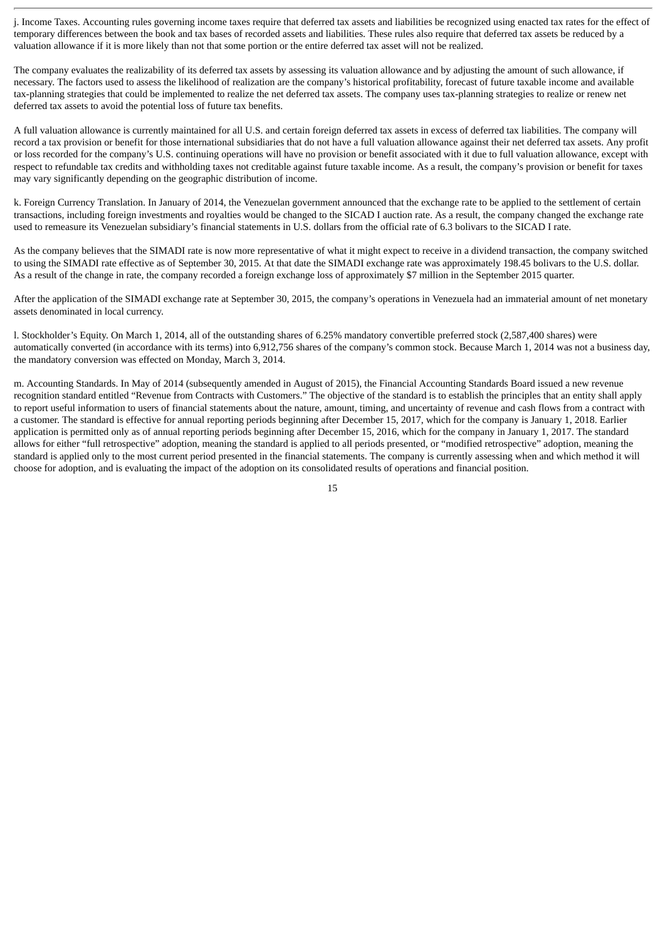j. Income Taxes. Accounting rules governing income taxes require that deferred tax assets and liabilities be recognized using enacted tax rates for the effect of temporary differences between the book and tax bases of recorded assets and liabilities. These rules also require that deferred tax assets be reduced by a valuation allowance if it is more likely than not that some portion or the entire deferred tax asset will not be realized.

The company evaluates the realizability of its deferred tax assets by assessing its valuation allowance and by adjusting the amount of such allowance, if necessary. The factors used to assess the likelihood of realization are the company's historical profitability, forecast of future taxable income and available tax-planning strategies that could be implemented to realize the net deferred tax assets. The company uses tax-planning strategies to realize or renew net deferred tax assets to avoid the potential loss of future tax benefits.

A full valuation allowance is currently maintained for all U.S. and certain foreign deferred tax assets in excess of deferred tax liabilities. The company will record a tax provision or benefit for those international subsidiaries that do not have a full valuation allowance against their net deferred tax assets. Any profit or loss recorded for the company's U.S. continuing operations will have no provision or benefit associated with it due to full valuation allowance, except with respect to refundable tax credits and withholding taxes not creditable against future taxable income. As a result, the company's provision or benefit for taxes may vary significantly depending on the geographic distribution of income.

k. Foreign Currency Translation. In January of 2014, the Venezuelan government announced that the exchange rate to be applied to the settlement of certain transactions, including foreign investments and royalties would be changed to the SICAD I auction rate. As a result, the company changed the exchange rate used to remeasure its Venezuelan subsidiary's financial statements in U.S. dollars from the official rate of 6.3 bolivars to the SICAD I rate.

As the company believes that the SIMADI rate is now more representative of what it might expect to receive in a dividend transaction, the company switched to using the SIMADI rate effective as of September 30, 2015. At that date the SIMADI exchange rate was approximately 198.45 bolivars to the U.S. dollar. As a result of the change in rate, the company recorded a foreign exchange loss of approximately \$7 million in the September 2015 quarter.

After the application of the SIMADI exchange rate at September 30, 2015, the company's operations in Venezuela had an immaterial amount of net monetary assets denominated in local currency.

l. Stockholder's Equity. On March 1, 2014, all of the outstanding shares of 6.25% mandatory convertible preferred stock (2,587,400 shares) were automatically converted (in accordance with its terms) into 6,912,756 shares of the company's common stock. Because March 1, 2014 was not a business day, the mandatory conversion was effected on Monday, March 3, 2014.

m. Accounting Standards. In May of 2014 (subsequently amended in August of 2015), the Financial Accounting Standards Board issued a new revenue recognition standard entitled "Revenue from Contracts with Customers." The objective of the standard is to establish the principles that an entity shall apply to report useful information to users of financial statements about the nature, amount, timing, and uncertainty of revenue and cash flows from a contract with a customer. The standard is effective for annual reporting periods beginning after December 15, 2017, which for the company is January 1, 2018. Earlier application is permitted only as of annual reporting periods beginning after December 15, 2016, which for the company in January 1, 2017. The standard allows for either "full retrospective" adoption, meaning the standard is applied to all periods presented, or "modified retrospective" adoption, meaning the standard is applied only to the most current period presented in the financial statements. The company is currently assessing when and which method it will choose for adoption, and is evaluating the impact of the adoption on its consolidated results of operations and financial position.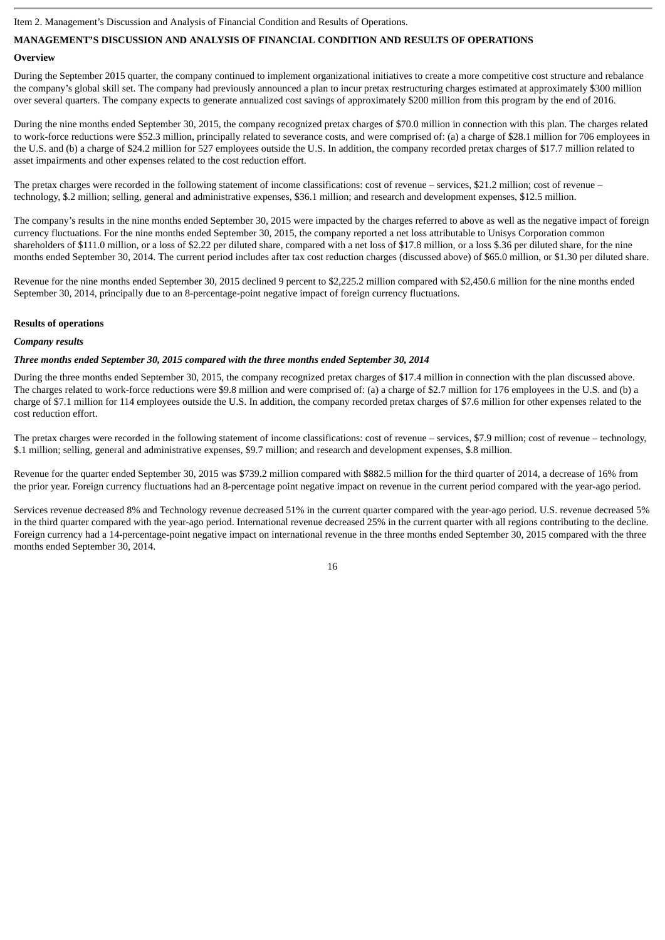Item 2. Management's Discussion and Analysis of Financial Condition and Results of Operations.

#### **MANAGEMENT'S DISCUSSION AND ANALYSIS OF FINANCIAL CONDITION AND RESULTS OF OPERATIONS**

#### **Overview**

During the September 2015 quarter, the company continued to implement organizational initiatives to create a more competitive cost structure and rebalance the company's global skill set. The company had previously announced a plan to incur pretax restructuring charges estimated at approximately \$300 million over several quarters. The company expects to generate annualized cost savings of approximately \$200 million from this program by the end of 2016.

During the nine months ended September 30, 2015, the company recognized pretax charges of \$70.0 million in connection with this plan. The charges related to work-force reductions were \$52.3 million, principally related to severance costs, and were comprised of: (a) a charge of \$28.1 million for 706 employees in the U.S. and (b) a charge of \$24.2 million for 527 employees outside the U.S. In addition, the company recorded pretax charges of \$17.7 million related to asset impairments and other expenses related to the cost reduction effort.

The pretax charges were recorded in the following statement of income classifications: cost of revenue – services, \$21.2 million; cost of revenue – technology, \$.2 million; selling, general and administrative expenses, \$36.1 million; and research and development expenses, \$12.5 million.

The company's results in the nine months ended September 30, 2015 were impacted by the charges referred to above as well as the negative impact of foreign currency fluctuations. For the nine months ended September 30, 2015, the company reported a net loss attributable to Unisys Corporation common shareholders of \$111.0 million, or a loss of \$2.22 per diluted share, compared with a net loss of \$17.8 million, or a loss \$.36 per diluted share, for the nine months ended September 30, 2014. The current period includes after tax cost reduction charges (discussed above) of \$65.0 million, or \$1.30 per diluted share.

Revenue for the nine months ended September 30, 2015 declined 9 percent to \$2,225.2 million compared with \$2,450.6 million for the nine months ended September 30, 2014, principally due to an 8-percentage-point negative impact of foreign currency fluctuations.

#### **Results of operations**

#### *Company results*

#### *Three months ended September 30, 2015 compared with the three months ended September 30, 2014*

During the three months ended September 30, 2015, the company recognized pretax charges of \$17.4 million in connection with the plan discussed above. The charges related to work-force reductions were \$9.8 million and were comprised of: (a) a charge of \$2.7 million for 176 employees in the U.S. and (b) a charge of \$7.1 million for 114 employees outside the U.S. In addition, the company recorded pretax charges of \$7.6 million for other expenses related to the cost reduction effort.

The pretax charges were recorded in the following statement of income classifications: cost of revenue – services, \$7.9 million; cost of revenue – technology, \$.1 million; selling, general and administrative expenses, \$9.7 million; and research and development expenses, \$.8 million.

Revenue for the quarter ended September 30, 2015 was \$739.2 million compared with \$882.5 million for the third quarter of 2014, a decrease of 16% from the prior year. Foreign currency fluctuations had an 8-percentage point negative impact on revenue in the current period compared with the year-ago period.

Services revenue decreased 8% and Technology revenue decreased 51% in the current quarter compared with the year-ago period. U.S. revenue decreased 5% in the third quarter compared with the year-ago period. International revenue decreased 25% in the current quarter with all regions contributing to the decline. Foreign currency had a 14-percentage-point negative impact on international revenue in the three months ended September 30, 2015 compared with the three months ended September 30, 2014.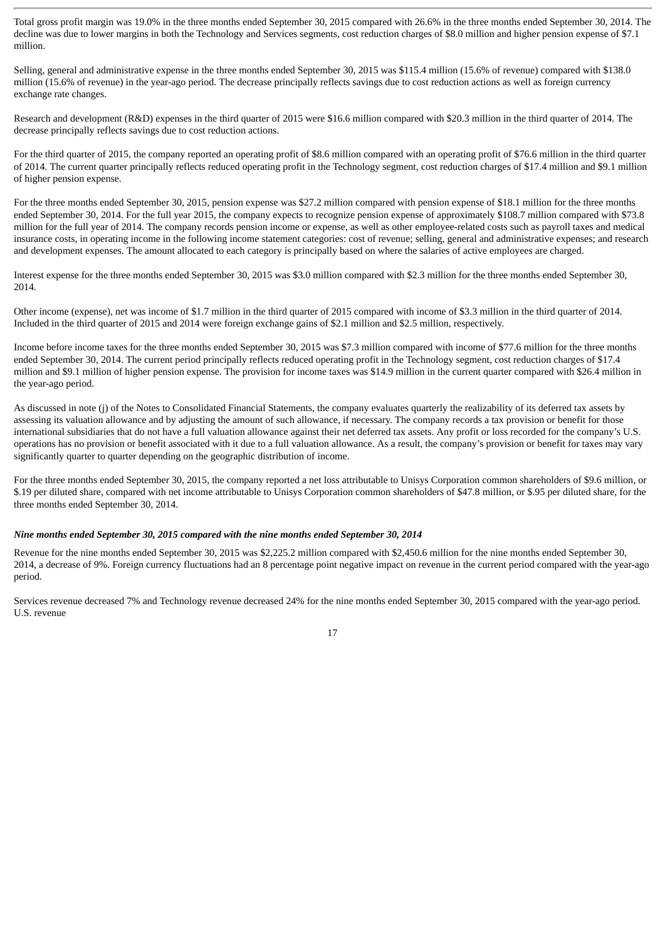Total gross profit margin was 19.0% in the three months ended September 30, 2015 compared with 26.6% in the three months ended September 30, 2014. The decline was due to lower margins in both the Technology and Services segments, cost reduction charges of \$8.0 million and higher pension expense of \$7.1 million.

Selling, general and administrative expense in the three months ended September 30, 2015 was \$115.4 million (15.6% of revenue) compared with \$138.0 million (15.6% of revenue) in the year-ago period. The decrease principally reflects savings due to cost reduction actions as well as foreign currency exchange rate changes.

Research and development (R&D) expenses in the third quarter of 2015 were \$16.6 million compared with \$20.3 million in the third quarter of 2014. The decrease principally reflects savings due to cost reduction actions.

For the third quarter of 2015, the company reported an operating profit of \$8.6 million compared with an operating profit of \$76.6 million in the third quarter of 2014. The current quarter principally reflects reduced operating profit in the Technology segment, cost reduction charges of \$17.4 million and \$9.1 million of higher pension expense.

For the three months ended September 30, 2015, pension expense was \$27.2 million compared with pension expense of \$18.1 million for the three months ended September 30, 2014. For the full year 2015, the company expects to recognize pension expense of approximately \$108.7 million compared with \$73.8 million for the full year of 2014. The company records pension income or expense, as well as other employee-related costs such as payroll taxes and medical insurance costs, in operating income in the following income statement categories: cost of revenue; selling, general and administrative expenses; and research and development expenses. The amount allocated to each category is principally based on where the salaries of active employees are charged.

Interest expense for the three months ended September 30, 2015 was \$3.0 million compared with \$2.3 million for the three months ended September 30, 2014.

Other income (expense), net was income of \$1.7 million in the third quarter of 2015 compared with income of \$3.3 million in the third quarter of 2014. Included in the third quarter of 2015 and 2014 were foreign exchange gains of \$2.1 million and \$2.5 million, respectively.

Income before income taxes for the three months ended September 30, 2015 was \$7.3 million compared with income of \$77.6 million for the three months ended September 30, 2014. The current period principally reflects reduced operating profit in the Technology segment, cost reduction charges of \$17.4 million and \$9.1 million of higher pension expense. The provision for income taxes was \$14.9 million in the current quarter compared with \$26.4 million in the year-ago period.

As discussed in note (j) of the Notes to Consolidated Financial Statements, the company evaluates quarterly the realizability of its deferred tax assets by assessing its valuation allowance and by adjusting the amount of such allowance, if necessary. The company records a tax provision or benefit for those international subsidiaries that do not have a full valuation allowance against their net deferred tax assets. Any profit or loss recorded for the company's U.S. operations has no provision or benefit associated with it due to a full valuation allowance. As a result, the company's provision or benefit for taxes may vary significantly quarter to quarter depending on the geographic distribution of income.

For the three months ended September 30, 2015, the company reported a net loss attributable to Unisys Corporation common shareholders of \$9.6 million, or \$.19 per diluted share, compared with net income attributable to Unisys Corporation common shareholders of \$47.8 million, or \$.95 per diluted share, for the three months ended September 30, 2014.

#### *Nine months ended September 30, 2015 compared with the nine months ended September 30, 2014*

Revenue for the nine months ended September 30, 2015 was \$2,225.2 million compared with \$2,450.6 million for the nine months ended September 30, 2014, a decrease of 9%. Foreign currency fluctuations had an 8 percentage point negative impact on revenue in the current period compared with the year-ago period.

Services revenue decreased 7% and Technology revenue decreased 24% for the nine months ended September 30, 2015 compared with the year-ago period. U.S. revenue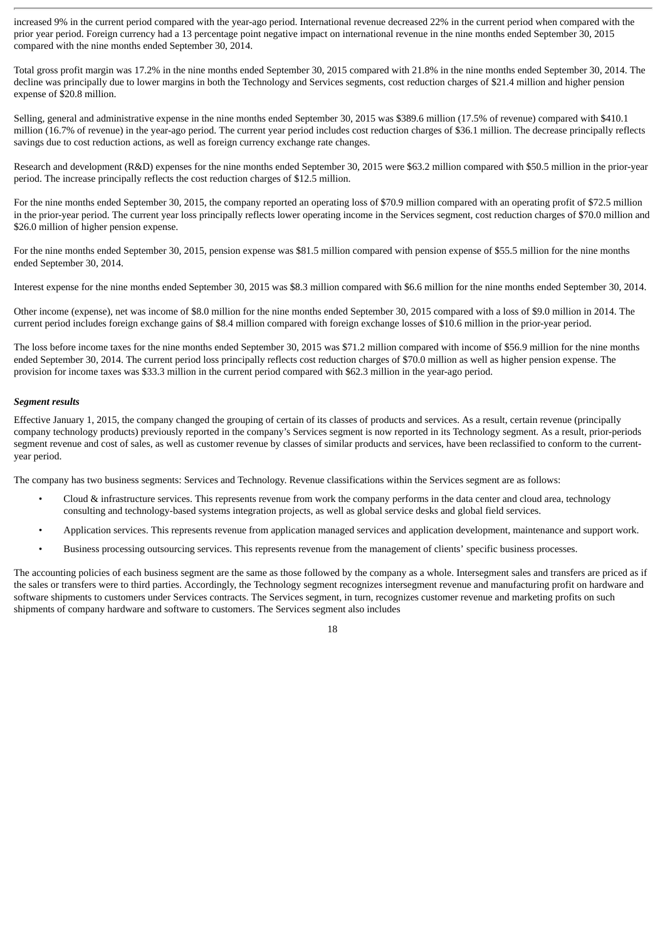increased 9% in the current period compared with the year-ago period. International revenue decreased 22% in the current period when compared with the prior year period. Foreign currency had a 13 percentage point negative impact on international revenue in the nine months ended September 30, 2015 compared with the nine months ended September 30, 2014.

Total gross profit margin was 17.2% in the nine months ended September 30, 2015 compared with 21.8% in the nine months ended September 30, 2014. The decline was principally due to lower margins in both the Technology and Services segments, cost reduction charges of \$21.4 million and higher pension expense of \$20.8 million.

Selling, general and administrative expense in the nine months ended September 30, 2015 was \$389.6 million (17.5% of revenue) compared with \$410.1 million (16.7% of revenue) in the year-ago period. The current year period includes cost reduction charges of \$36.1 million. The decrease principally reflects savings due to cost reduction actions, as well as foreign currency exchange rate changes.

Research and development (R&D) expenses for the nine months ended September 30, 2015 were \$63.2 million compared with \$50.5 million in the prior-year period. The increase principally reflects the cost reduction charges of \$12.5 million.

For the nine months ended September 30, 2015, the company reported an operating loss of \$70.9 million compared with an operating profit of \$72.5 million in the prior-year period. The current year loss principally reflects lower operating income in the Services segment, cost reduction charges of \$70.0 million and \$26.0 million of higher pension expense.

For the nine months ended September 30, 2015, pension expense was \$81.5 million compared with pension expense of \$55.5 million for the nine months ended September 30, 2014.

Interest expense for the nine months ended September 30, 2015 was \$8.3 million compared with \$6.6 million for the nine months ended September 30, 2014.

Other income (expense), net was income of \$8.0 million for the nine months ended September 30, 2015 compared with a loss of \$9.0 million in 2014. The current period includes foreign exchange gains of \$8.4 million compared with foreign exchange losses of \$10.6 million in the prior-year period.

The loss before income taxes for the nine months ended September 30, 2015 was \$71.2 million compared with income of \$56.9 million for the nine months ended September 30, 2014. The current period loss principally reflects cost reduction charges of \$70.0 million as well as higher pension expense. The provision for income taxes was \$33.3 million in the current period compared with \$62.3 million in the year-ago period.

#### *Segment results*

Effective January 1, 2015, the company changed the grouping of certain of its classes of products and services. As a result, certain revenue (principally company technology products) previously reported in the company's Services segment is now reported in its Technology segment. As a result, prior-periods segment revenue and cost of sales, as well as customer revenue by classes of similar products and services, have been reclassified to conform to the currentyear period.

The company has two business segments: Services and Technology. Revenue classifications within the Services segment are as follows:

- Cloud & infrastructure services. This represents revenue from work the company performs in the data center and cloud area, technology consulting and technology-based systems integration projects, as well as global service desks and global field services.
- Application services. This represents revenue from application managed services and application development, maintenance and support work.
- Business processing outsourcing services. This represents revenue from the management of clients' specific business processes.

The accounting policies of each business segment are the same as those followed by the company as a whole. Intersegment sales and transfers are priced as if the sales or transfers were to third parties. Accordingly, the Technology segment recognizes intersegment revenue and manufacturing profit on hardware and software shipments to customers under Services contracts. The Services segment, in turn, recognizes customer revenue and marketing profits on such shipments of company hardware and software to customers. The Services segment also includes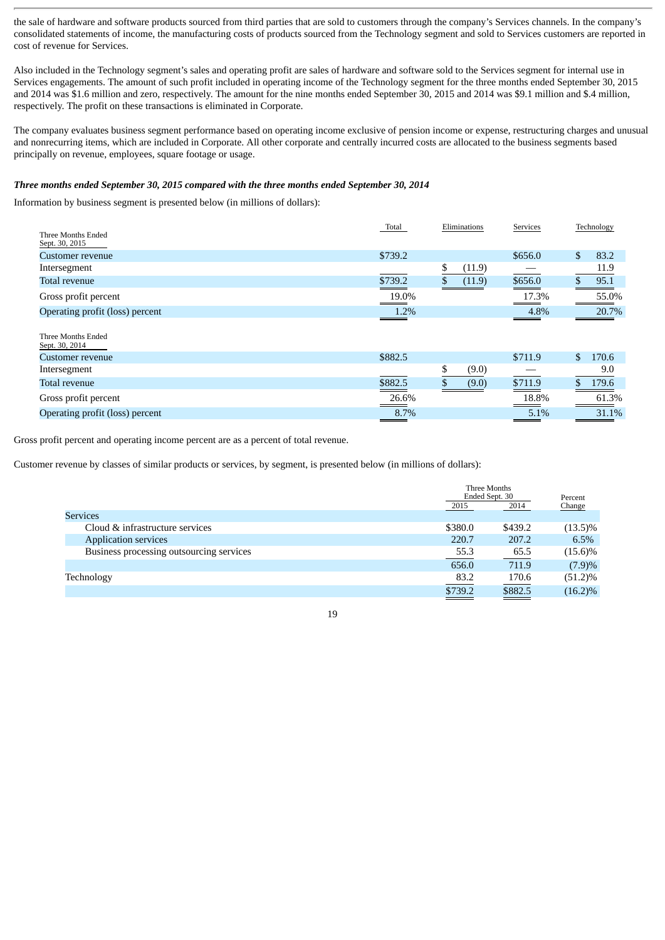the sale of hardware and software products sourced from third parties that are sold to customers through the company's Services channels. In the company's consolidated statements of income, the manufacturing costs of products sourced from the Technology segment and sold to Services customers are reported in cost of revenue for Services.

Also included in the Technology segment's sales and operating profit are sales of hardware and software sold to the Services segment for internal use in Services engagements. The amount of such profit included in operating income of the Technology segment for the three months ended September 30, 2015 and 2014 was \$1.6 million and zero, respectively. The amount for the nine months ended September 30, 2015 and 2014 was \$9.1 million and \$.4 million, respectively. The profit on these transactions is eliminated in Corporate.

The company evaluates business segment performance based on operating income exclusive of pension income or expense, restructuring charges and unusual and nonrecurring items, which are included in Corporate. All other corporate and centrally incurred costs are allocated to the business segments based principally on revenue, employees, square footage or usage.

#### *Three months ended September 30, 2015 compared with the three months ended September 30, 2014*

Information by business segment is presented below (in millions of dollars):

|                                      | Total   | Eliminations  | Services | Technology             |
|--------------------------------------|---------|---------------|----------|------------------------|
| Three Months Ended<br>Sept. 30, 2015 |         |               |          |                        |
| Customer revenue                     | \$739.2 |               | \$656.0  | \$<br>83.2             |
| Intersegment                         |         | \$<br>(11.9)  |          | 11.9                   |
| <b>Total revenue</b>                 | \$739.2 | \$.<br>(11.9) | \$656.0  | 95.1<br>\$             |
| Gross profit percent                 | 19.0%   |               | 17.3%    | 55.0%                  |
| Operating profit (loss) percent      | 1.2%    |               | 4.8%     | 20.7%                  |
| Three Months Ended<br>Sept. 30, 2014 |         |               |          |                        |
| Customer revenue                     | \$882.5 |               | \$711.9  | \$<br>170.6            |
| Intersegment                         |         | \$<br>(9.0)   |          | 9.0                    |
| Total revenue                        | \$882.5 | (9.0)         | \$711.9  | $\mathcal{L}$<br>179.6 |
| Gross profit percent                 | 26.6%   |               | 18.8%    | 61.3%                  |
| Operating profit (loss) percent      | 8.7%    |               | 5.1%     | 31.1%                  |

Gross profit percent and operating income percent are as a percent of total revenue.

Customer revenue by classes of similar products or services, by segment, is presented below (in millions of dollars):

|                                          | 2015    | Three Months<br>Ended Sept. 30<br>2014 |            |
|------------------------------------------|---------|----------------------------------------|------------|
| Services                                 |         |                                        | Change     |
| Cloud & infrastructure services          | \$380.0 | \$439.2                                | $(13.5)\%$ |
| <b>Application services</b>              | 220.7   | 207.2                                  | 6.5%       |
| Business processing outsourcing services | 55.3    | 65.5                                   | $(15.6)\%$ |
|                                          | 656.0   | 711.9                                  | (7.9)%     |
| Technology                               | 83.2    | 170.6                                  | $(51.2)\%$ |
|                                          | \$739.2 | \$882.5                                | $(16.2)\%$ |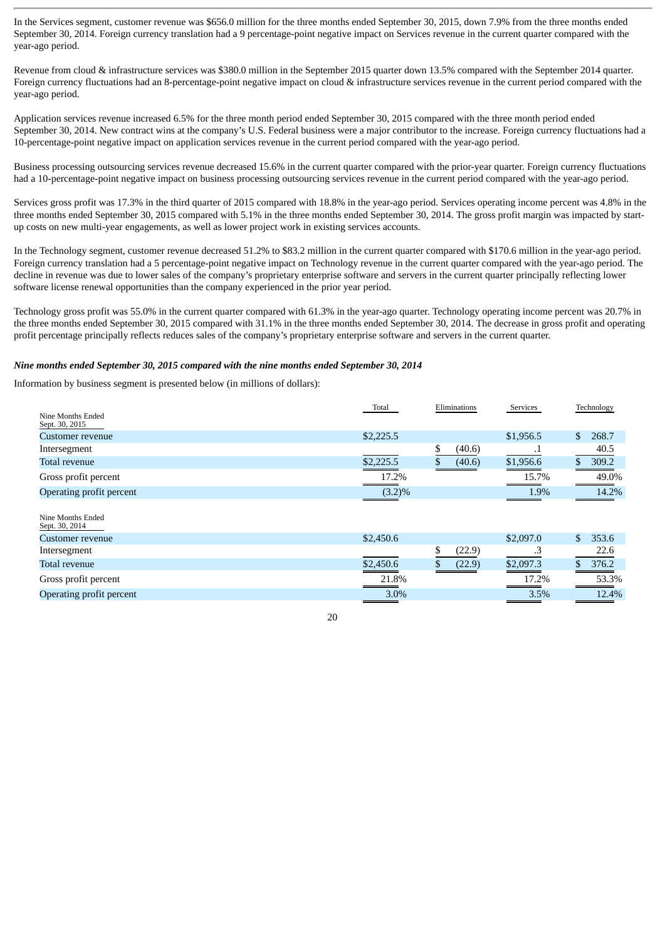In the Services segment, customer revenue was \$656.0 million for the three months ended September 30, 2015, down 7.9% from the three months ended September 30, 2014. Foreign currency translation had a 9 percentage-point negative impact on Services revenue in the current quarter compared with the year-ago period.

Revenue from cloud & infrastructure services was \$380.0 million in the September 2015 quarter down 13.5% compared with the September 2014 quarter. Foreign currency fluctuations had an 8-percentage-point negative impact on cloud & infrastructure services revenue in the current period compared with the year-ago period.

Application services revenue increased 6.5% for the three month period ended September 30, 2015 compared with the three month period ended September 30, 2014. New contract wins at the company's U.S. Federal business were a major contributor to the increase. Foreign currency fluctuations had a 10-percentage-point negative impact on application services revenue in the current period compared with the year-ago period.

Business processing outsourcing services revenue decreased 15.6% in the current quarter compared with the prior-year quarter. Foreign currency fluctuations had a 10-percentage-point negative impact on business processing outsourcing services revenue in the current period compared with the year-ago period.

Services gross profit was 17.3% in the third quarter of 2015 compared with 18.8% in the year-ago period. Services operating income percent was 4.8% in the three months ended September 30, 2015 compared with 5.1% in the three months ended September 30, 2014. The gross profit margin was impacted by startup costs on new multi-year engagements, as well as lower project work in existing services accounts.

In the Technology segment, customer revenue decreased 51.2% to \$83.2 million in the current quarter compared with \$170.6 million in the year-ago period. Foreign currency translation had a 5 percentage-point negative impact on Technology revenue in the current quarter compared with the year-ago period. The decline in revenue was due to lower sales of the company's proprietary enterprise software and servers in the current quarter principally reflecting lower software license renewal opportunities than the company experienced in the prior year period.

Technology gross profit was 55.0% in the current quarter compared with 61.3% in the year-ago quarter. Technology operating income percent was 20.7% in the three months ended September 30, 2015 compared with 31.1% in the three months ended September 30, 2014. The decrease in gross profit and operating profit percentage principally reflects reduces sales of the company's proprietary enterprise software and servers in the current quarter.

#### *Nine months ended September 30, 2015 compared with the nine months ended September 30, 2014*

Information by business segment is presented below (in millions of dollars):

| Nine Months Ended<br>Sept. 30, 2015 | Total     | Eliminations | Services  | Technology  |
|-------------------------------------|-----------|--------------|-----------|-------------|
| Customer revenue                    | \$2,225.5 |              | \$1,956.5 | \$<br>268.7 |
| Intersegment                        |           | S<br>(40.6)  |           | 40.5        |
| <b>Total revenue</b>                | \$2,225.5 | (40.6)<br>\$ | \$1,956.6 | \$<br>309.2 |
| Gross profit percent                | 17.2%     |              | 15.7%     | 49.0%       |
| Operating profit percent            | $(3.2)\%$ |              | 1.9%      | 14.2%       |
| Nine Months Ended<br>Sept. 30, 2014 |           |              |           |             |
| Customer revenue                    | \$2,450.6 |              | \$2,097.0 | \$<br>353.6 |
| Intersegment                        |           | \$<br>(22.9) | .3        | 22.6        |
| Total revenue                       | \$2,450.6 | (22.9)       | \$2,097.3 | \$<br>376.2 |
| Gross profit percent                | 21.8%     |              | 17.2%     | 53.3%       |
| Operating profit percent            | 3.0%      |              | 3.5%      | 12.4%       |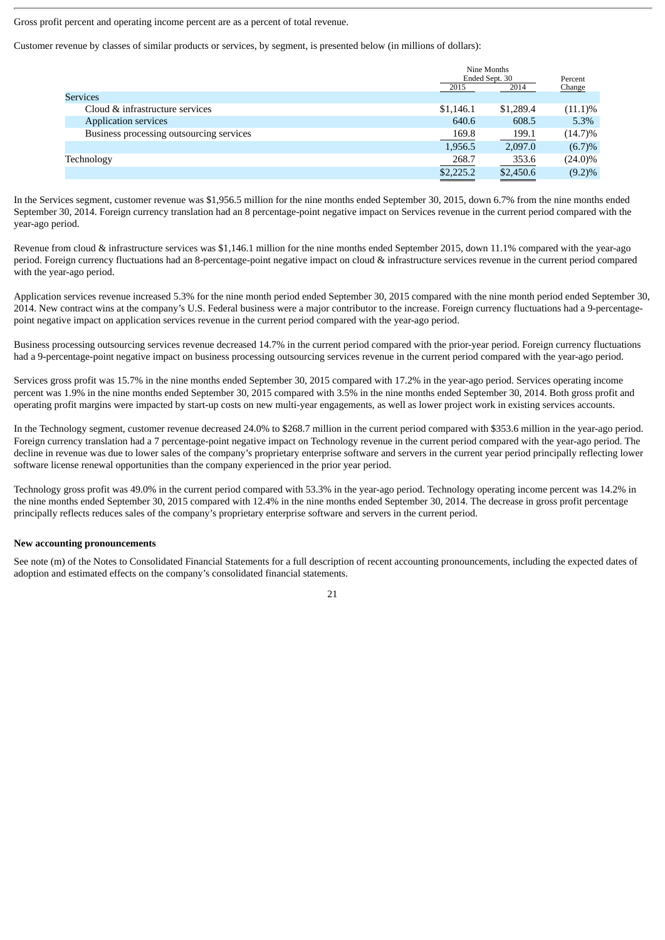Gross profit percent and operating income percent are as a percent of total revenue.

Customer revenue by classes of similar products or services, by segment, is presented below (in millions of dollars):

|                                          |           | Nine Months<br>Ended Sept. 30 |            |  |
|------------------------------------------|-----------|-------------------------------|------------|--|
|                                          | 2015      | 2014                          | Change     |  |
| <b>Services</b>                          |           |                               |            |  |
| Cloud & infrastructure services          | \$1,146.1 | \$1,289.4                     | $(11.1)\%$ |  |
| <b>Application services</b>              | 640.6     | 608.5                         | 5.3%       |  |
| Business processing outsourcing services | 169.8     | 199.1                         | $(14.7)\%$ |  |
|                                          | 1,956.5   | 2,097.0                       | (6.7)%     |  |
| Technology                               | 268.7     | 353.6                         | $(24.0)\%$ |  |
|                                          | \$2,225.2 | \$2,450.6                     | $(9.2)\%$  |  |

In the Services segment, customer revenue was \$1,956.5 million for the nine months ended September 30, 2015, down 6.7% from the nine months ended September 30, 2014. Foreign currency translation had an 8 percentage-point negative impact on Services revenue in the current period compared with the year-ago period.

Revenue from cloud & infrastructure services was \$1,146.1 million for the nine months ended September 2015, down 11.1% compared with the year-ago period. Foreign currency fluctuations had an 8-percentage-point negative impact on cloud & infrastructure services revenue in the current period compared with the year-ago period.

Application services revenue increased 5.3% for the nine month period ended September 30, 2015 compared with the nine month period ended September 30, 2014. New contract wins at the company's U.S. Federal business were a major contributor to the increase. Foreign currency fluctuations had a 9-percentagepoint negative impact on application services revenue in the current period compared with the year-ago period.

Business processing outsourcing services revenue decreased 14.7% in the current period compared with the prior-year period. Foreign currency fluctuations had a 9-percentage-point negative impact on business processing outsourcing services revenue in the current period compared with the year-ago period.

Services gross profit was 15.7% in the nine months ended September 30, 2015 compared with 17.2% in the year-ago period. Services operating income percent was 1.9% in the nine months ended September 30, 2015 compared with 3.5% in the nine months ended September 30, 2014. Both gross profit and operating profit margins were impacted by start-up costs on new multi-year engagements, as well as lower project work in existing services accounts.

In the Technology segment, customer revenue decreased 24.0% to \$268.7 million in the current period compared with \$353.6 million in the year-ago period. Foreign currency translation had a 7 percentage-point negative impact on Technology revenue in the current period compared with the year-ago period. The decline in revenue was due to lower sales of the company's proprietary enterprise software and servers in the current year period principally reflecting lower software license renewal opportunities than the company experienced in the prior year period.

Technology gross profit was 49.0% in the current period compared with 53.3% in the year-ago period. Technology operating income percent was 14.2% in the nine months ended September 30, 2015 compared with 12.4% in the nine months ended September 30, 2014. The decrease in gross profit percentage principally reflects reduces sales of the company's proprietary enterprise software and servers in the current period.

#### **New accounting pronouncements**

See note (m) of the Notes to Consolidated Financial Statements for a full description of recent accounting pronouncements, including the expected dates of adoption and estimated effects on the company's consolidated financial statements.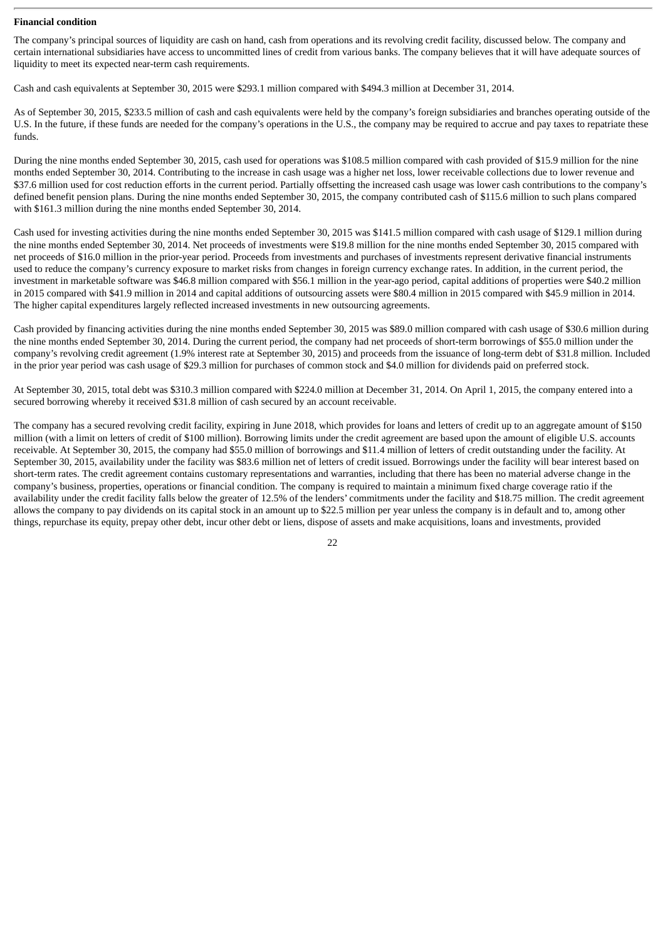#### **Financial condition**

The company's principal sources of liquidity are cash on hand, cash from operations and its revolving credit facility, discussed below. The company and certain international subsidiaries have access to uncommitted lines of credit from various banks. The company believes that it will have adequate sources of liquidity to meet its expected near-term cash requirements.

Cash and cash equivalents at September 30, 2015 were \$293.1 million compared with \$494.3 million at December 31, 2014.

As of September 30, 2015, \$233.5 million of cash and cash equivalents were held by the company's foreign subsidiaries and branches operating outside of the U.S. In the future, if these funds are needed for the company's operations in the U.S., the company may be required to accrue and pay taxes to repatriate these funds.

During the nine months ended September 30, 2015, cash used for operations was \$108.5 million compared with cash provided of \$15.9 million for the nine months ended September 30, 2014. Contributing to the increase in cash usage was a higher net loss, lower receivable collections due to lower revenue and \$37.6 million used for cost reduction efforts in the current period. Partially offsetting the increased cash usage was lower cash contributions to the company's defined benefit pension plans. During the nine months ended September 30, 2015, the company contributed cash of \$115.6 million to such plans compared with \$161.3 million during the nine months ended September 30, 2014.

Cash used for investing activities during the nine months ended September 30, 2015 was \$141.5 million compared with cash usage of \$129.1 million during the nine months ended September 30, 2014. Net proceeds of investments were \$19.8 million for the nine months ended September 30, 2015 compared with net proceeds of \$16.0 million in the prior-year period. Proceeds from investments and purchases of investments represent derivative financial instruments used to reduce the company's currency exposure to market risks from changes in foreign currency exchange rates. In addition, in the current period, the investment in marketable software was \$46.8 million compared with \$56.1 million in the year-ago period, capital additions of properties were \$40.2 million in 2015 compared with \$41.9 million in 2014 and capital additions of outsourcing assets were \$80.4 million in 2015 compared with \$45.9 million in 2014. The higher capital expenditures largely reflected increased investments in new outsourcing agreements.

Cash provided by financing activities during the nine months ended September 30, 2015 was \$89.0 million compared with cash usage of \$30.6 million during the nine months ended September 30, 2014. During the current period, the company had net proceeds of short-term borrowings of \$55.0 million under the company's revolving credit agreement (1.9% interest rate at September 30, 2015) and proceeds from the issuance of long-term debt of \$31.8 million. Included in the prior year period was cash usage of \$29.3 million for purchases of common stock and \$4.0 million for dividends paid on preferred stock.

At September 30, 2015, total debt was \$310.3 million compared with \$224.0 million at December 31, 2014. On April 1, 2015, the company entered into a secured borrowing whereby it received \$31.8 million of cash secured by an account receivable.

The company has a secured revolving credit facility, expiring in June 2018, which provides for loans and letters of credit up to an aggregate amount of \$150 million (with a limit on letters of credit of \$100 million). Borrowing limits under the credit agreement are based upon the amount of eligible U.S. accounts receivable. At September 30, 2015, the company had \$55.0 million of borrowings and \$11.4 million of letters of credit outstanding under the facility. At September 30, 2015, availability under the facility was \$83.6 million net of letters of credit issued. Borrowings under the facility will bear interest based on short-term rates. The credit agreement contains customary representations and warranties, including that there has been no material adverse change in the company's business, properties, operations or financial condition. The company is required to maintain a minimum fixed charge coverage ratio if the availability under the credit facility falls below the greater of 12.5% of the lenders' commitments under the facility and \$18.75 million. The credit agreement allows the company to pay dividends on its capital stock in an amount up to \$22.5 million per year unless the company is in default and to, among other things, repurchase its equity, prepay other debt, incur other debt or liens, dispose of assets and make acquisitions, loans and investments, provided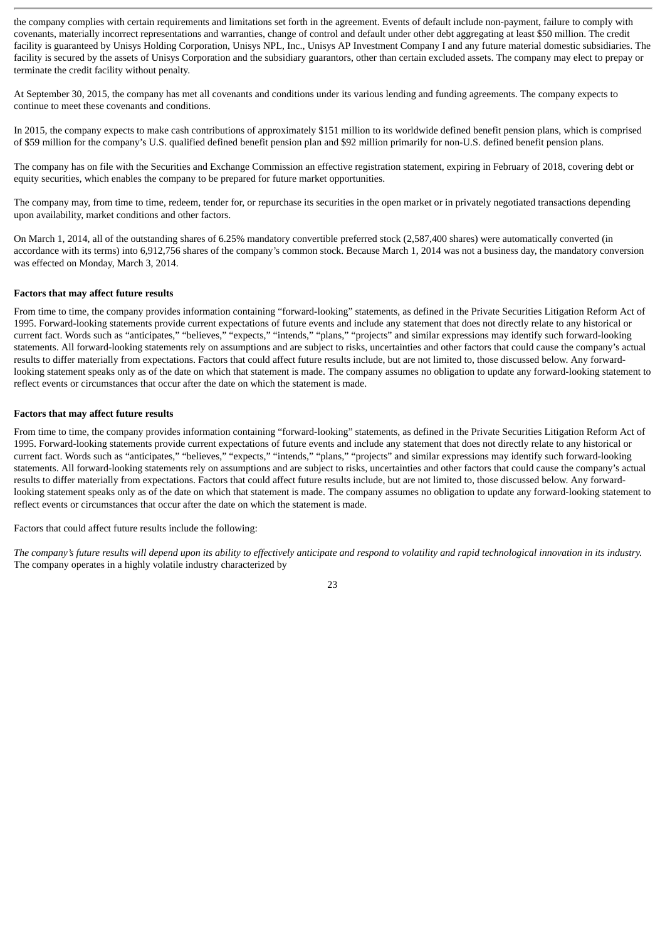the company complies with certain requirements and limitations set forth in the agreement. Events of default include non-payment, failure to comply with covenants, materially incorrect representations and warranties, change of control and default under other debt aggregating at least \$50 million. The credit facility is guaranteed by Unisys Holding Corporation, Unisys NPL, Inc., Unisys AP Investment Company I and any future material domestic subsidiaries. The facility is secured by the assets of Unisys Corporation and the subsidiary guarantors, other than certain excluded assets. The company may elect to prepay or terminate the credit facility without penalty.

At September 30, 2015, the company has met all covenants and conditions under its various lending and funding agreements. The company expects to continue to meet these covenants and conditions.

In 2015, the company expects to make cash contributions of approximately \$151 million to its worldwide defined benefit pension plans, which is comprised of \$59 million for the company's U.S. qualified defined benefit pension plan and \$92 million primarily for non-U.S. defined benefit pension plans.

The company has on file with the Securities and Exchange Commission an effective registration statement, expiring in February of 2018, covering debt or equity securities, which enables the company to be prepared for future market opportunities.

The company may, from time to time, redeem, tender for, or repurchase its securities in the open market or in privately negotiated transactions depending upon availability, market conditions and other factors.

On March 1, 2014, all of the outstanding shares of 6.25% mandatory convertible preferred stock (2,587,400 shares) were automatically converted (in accordance with its terms) into 6,912,756 shares of the company's common stock. Because March 1, 2014 was not a business day, the mandatory conversion was effected on Monday, March 3, 2014.

#### **Factors that may affect future results**

From time to time, the company provides information containing "forward-looking" statements, as defined in the Private Securities Litigation Reform Act of 1995. Forward-looking statements provide current expectations of future events and include any statement that does not directly relate to any historical or current fact. Words such as "anticipates," "believes," "expects," "intends," "plans," "projects" and similar expressions may identify such forward-looking statements. All forward-looking statements rely on assumptions and are subject to risks, uncertainties and other factors that could cause the company's actual results to differ materially from expectations. Factors that could affect future results include, but are not limited to, those discussed below. Any forwardlooking statement speaks only as of the date on which that statement is made. The company assumes no obligation to update any forward-looking statement to reflect events or circumstances that occur after the date on which the statement is made.

#### **Factors that may affect future results**

From time to time, the company provides information containing "forward-looking" statements, as defined in the Private Securities Litigation Reform Act of 1995. Forward-looking statements provide current expectations of future events and include any statement that does not directly relate to any historical or current fact. Words such as "anticipates," "believes," "expects," "intends," "plans," "projects" and similar expressions may identify such forward-looking statements. All forward-looking statements rely on assumptions and are subject to risks, uncertainties and other factors that could cause the company's actual results to differ materially from expectations. Factors that could affect future results include, but are not limited to, those discussed below. Any forwardlooking statement speaks only as of the date on which that statement is made. The company assumes no obligation to update any forward-looking statement to reflect events or circumstances that occur after the date on which the statement is made.

Factors that could affect future results include the following:

The company's future results will depend upon its ability to effectively anticipate and respond to volatility and rapid technological innovation in its industry. The company operates in a highly volatile industry characterized by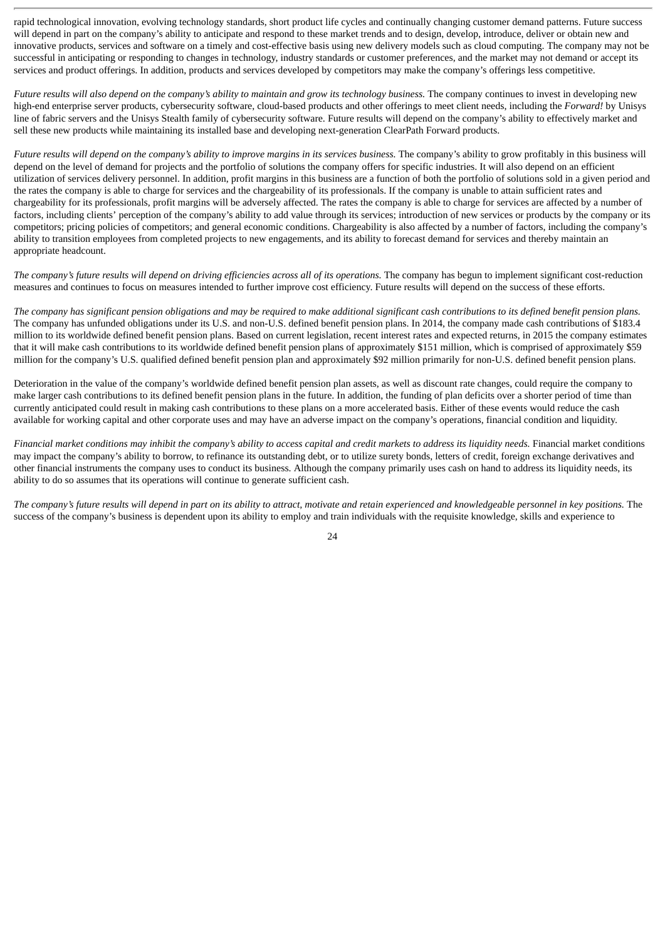rapid technological innovation, evolving technology standards, short product life cycles and continually changing customer demand patterns. Future success will depend in part on the company's ability to anticipate and respond to these market trends and to design, develop, introduce, deliver or obtain new and innovative products, services and software on a timely and cost-effective basis using new delivery models such as cloud computing. The company may not be successful in anticipating or responding to changes in technology, industry standards or customer preferences, and the market may not demand or accept its services and product offerings. In addition, products and services developed by competitors may make the company's offerings less competitive.

Future results will also depend on the company's ability to maintain and arow its technology business. The company continues to invest in developing new high-end enterprise server products, cybersecurity software, cloud-based products and other offerings to meet client needs, including the *Forward!* by Unisys line of fabric servers and the Unisys Stealth family of cybersecurity software. Future results will depend on the company's ability to effectively market and sell these new products while maintaining its installed base and developing next-generation ClearPath Forward products.

Future results will depend on the company's ability to improve margins in its services business. The company's ability to grow profitably in this business will depend on the level of demand for projects and the portfolio of solutions the company offers for specific industries. It will also depend on an efficient utilization of services delivery personnel. In addition, profit margins in this business are a function of both the portfolio of solutions sold in a given period and the rates the company is able to charge for services and the chargeability of its professionals. If the company is unable to attain sufficient rates and chargeability for its professionals, profit margins will be adversely affected. The rates the company is able to charge for services are affected by a number of factors, including clients' perception of the company's ability to add value through its services; introduction of new services or products by the company or its competitors; pricing policies of competitors; and general economic conditions. Chargeability is also affected by a number of factors, including the company's ability to transition employees from completed projects to new engagements, and its ability to forecast demand for services and thereby maintain an appropriate headcount.

The company's future results will depend on driving efficiencies across all of its operations. The company has begun to implement significant cost-reduction measures and continues to focus on measures intended to further improve cost efficiency. Future results will depend on the success of these efforts.

The company has significant pension obligations and may be required to make additional significant cash contributions to its defined benefit pension plans. The company has unfunded obligations under its U.S. and non-U.S. defined benefit pension plans. In 2014, the company made cash contributions of \$183.4 million to its worldwide defined benefit pension plans. Based on current legislation, recent interest rates and expected returns, in 2015 the company estimates that it will make cash contributions to its worldwide defined benefit pension plans of approximately \$151 million, which is comprised of approximately \$59 million for the company's U.S. qualified defined benefit pension plan and approximately \$92 million primarily for non-U.S. defined benefit pension plans.

Deterioration in the value of the company's worldwide defined benefit pension plan assets, as well as discount rate changes, could require the company to make larger cash contributions to its defined benefit pension plans in the future. In addition, the funding of plan deficits over a shorter period of time than currently anticipated could result in making cash contributions to these plans on a more accelerated basis. Either of these events would reduce the cash available for working capital and other corporate uses and may have an adverse impact on the company's operations, financial condition and liquidity.

Financial market conditions may inhibit the company's ability to access capital and credit markets to address its liquidity needs. Financial market conditions may impact the company's ability to borrow, to refinance its outstanding debt, or to utilize surety bonds, letters of credit, foreign exchange derivatives and other financial instruments the company uses to conduct its business. Although the company primarily uses cash on hand to address its liquidity needs, its ability to do so assumes that its operations will continue to generate sufficient cash.

The company's future results will depend in part on its ability to attract, motivate and retain experienced and knowledgeable personnel in key positions. The success of the company's business is dependent upon its ability to employ and train individuals with the requisite knowledge, skills and experience to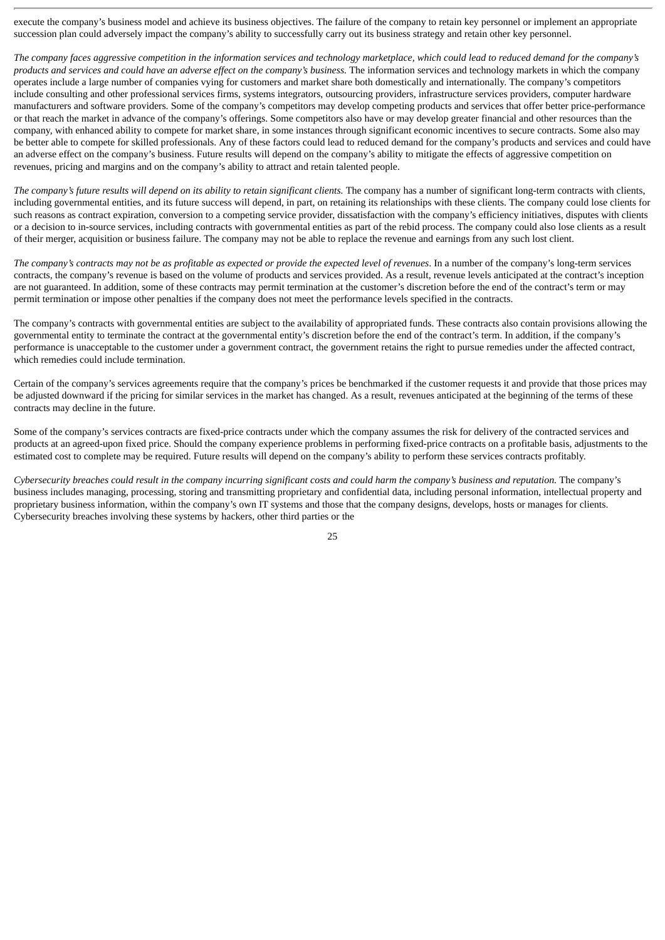execute the company's business model and achieve its business objectives. The failure of the company to retain key personnel or implement an appropriate succession plan could adversely impact the company's ability to successfully carry out its business strategy and retain other key personnel.

The company faces aggressive competition in the information services and technology marketplace, which could lead to reduced demand for the company's products and services and could have an adverse effect on the company's business. The information services and technology markets in which the company operates include a large number of companies vying for customers and market share both domestically and internationally. The company's competitors include consulting and other professional services firms, systems integrators, outsourcing providers, infrastructure services providers, computer hardware manufacturers and software providers. Some of the company's competitors may develop competing products and services that offer better price-performance or that reach the market in advance of the company's offerings. Some competitors also have or may develop greater financial and other resources than the company, with enhanced ability to compete for market share, in some instances through significant economic incentives to secure contracts. Some also may be better able to compete for skilled professionals. Any of these factors could lead to reduced demand for the company's products and services and could have an adverse effect on the company's business. Future results will depend on the company's ability to mitigate the effects of aggressive competition on revenues, pricing and margins and on the company's ability to attract and retain talented people.

The company's future results will depend on its ability to retain significant clients. The company has a number of significant long-term contracts with clients, including governmental entities, and its future success will depend, in part, on retaining its relationships with these clients. The company could lose clients for such reasons as contract expiration, conversion to a competing service provider, dissatisfaction with the company's efficiency initiatives, disputes with clients or a decision to in-source services, including contracts with governmental entities as part of the rebid process. The company could also lose clients as a result of their merger, acquisition or business failure. The company may not be able to replace the revenue and earnings from any such lost client.

The company's contracts may not be as profitable as expected or provide the expected level of revenues. In a number of the company's long-term services contracts, the company's revenue is based on the volume of products and services provided. As a result, revenue levels anticipated at the contract's inception are not guaranteed. In addition, some of these contracts may permit termination at the customer's discretion before the end of the contract's term or may permit termination or impose other penalties if the company does not meet the performance levels specified in the contracts.

The company's contracts with governmental entities are subject to the availability of appropriated funds. These contracts also contain provisions allowing the governmental entity to terminate the contract at the governmental entity's discretion before the end of the contract's term. In addition, if the company's performance is unacceptable to the customer under a government contract, the government retains the right to pursue remedies under the affected contract, which remedies could include termination.

Certain of the company's services agreements require that the company's prices be benchmarked if the customer requests it and provide that those prices may be adjusted downward if the pricing for similar services in the market has changed. As a result, revenues anticipated at the beginning of the terms of these contracts may decline in the future.

Some of the company's services contracts are fixed-price contracts under which the company assumes the risk for delivery of the contracted services and products at an agreed-upon fixed price. Should the company experience problems in performing fixed-price contracts on a profitable basis, adjustments to the estimated cost to complete may be required. Future results will depend on the company's ability to perform these services contracts profitably.

Cybersecurity breaches could result in the company incurring significant costs and could harm the company's business and reputation. The company's business includes managing, processing, storing and transmitting proprietary and confidential data, including personal information, intellectual property and proprietary business information, within the company's own IT systems and those that the company designs, develops, hosts or manages for clients. Cybersecurity breaches involving these systems by hackers, other third parties or the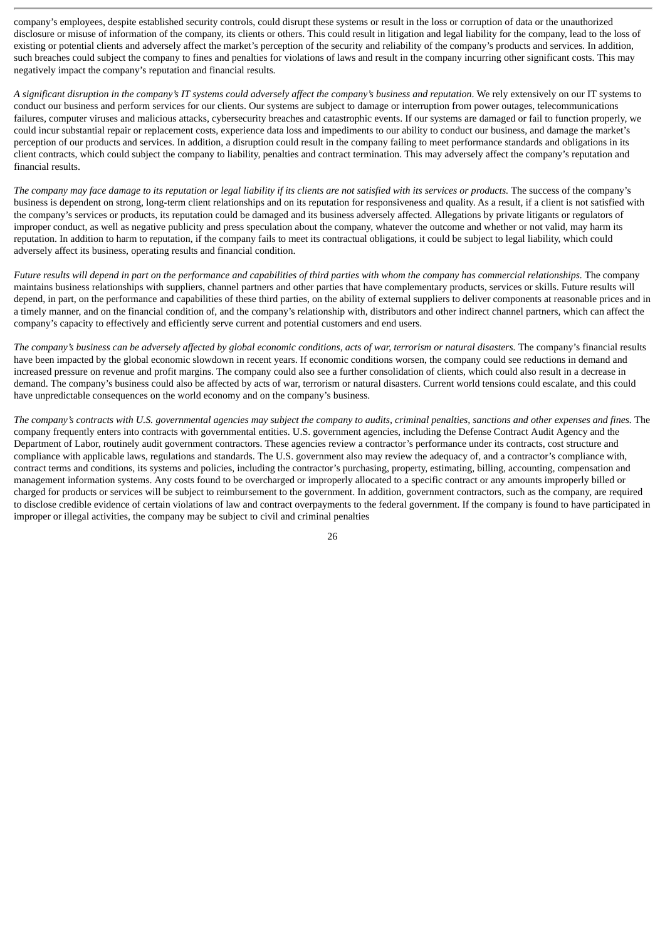company's employees, despite established security controls, could disrupt these systems or result in the loss or corruption of data or the unauthorized disclosure or misuse of information of the company, its clients or others. This could result in litigation and legal liability for the company, lead to the loss of existing or potential clients and adversely affect the market's perception of the security and reliability of the company's products and services. In addition, such breaches could subject the company to fines and penalties for violations of laws and result in the company incurring other significant costs. This may negatively impact the company's reputation and financial results.

A significant disruption in the company's IT systems could adversely affect the company's business and reputation. We rely extensively on our IT systems to conduct our business and perform services for our clients. Our systems are subject to damage or interruption from power outages, telecommunications failures, computer viruses and malicious attacks, cybersecurity breaches and catastrophic events. If our systems are damaged or fail to function properly, we could incur substantial repair or replacement costs, experience data loss and impediments to our ability to conduct our business, and damage the market's perception of our products and services. In addition, a disruption could result in the company failing to meet performance standards and obligations in its client contracts, which could subject the company to liability, penalties and contract termination. This may adversely affect the company's reputation and financial results.

The company may face damage to its reputation or legal liability if its clients are not satisfied with its services or products. The success of the company's business is dependent on strong, long-term client relationships and on its reputation for responsiveness and quality. As a result, if a client is not satisfied with the company's services or products, its reputation could be damaged and its business adversely affected. Allegations by private litigants or regulators of improper conduct, as well as negative publicity and press speculation about the company, whatever the outcome and whether or not valid, may harm its reputation. In addition to harm to reputation, if the company fails to meet its contractual obligations, it could be subject to legal liability, which could adversely affect its business, operating results and financial condition.

Future results will depend in part on the performance and capabilities of third parties with whom the company has commercial relationships. The company maintains business relationships with suppliers, channel partners and other parties that have complementary products, services or skills. Future results will depend, in part, on the performance and capabilities of these third parties, on the ability of external suppliers to deliver components at reasonable prices and in a timely manner, and on the financial condition of, and the company's relationship with, distributors and other indirect channel partners, which can affect the company's capacity to effectively and efficiently serve current and potential customers and end users.

The company's business can be adversely affected by global economic conditions, acts of war, terrorism or natural disasters. The company's financial results have been impacted by the global economic slowdown in recent years. If economic conditions worsen, the company could see reductions in demand and increased pressure on revenue and profit margins. The company could also see a further consolidation of clients, which could also result in a decrease in demand. The company's business could also be affected by acts of war, terrorism or natural disasters. Current world tensions could escalate, and this could have unpredictable consequences on the world economy and on the company's business.

The company's contracts with U.S. governmental agencies may subject the company to audits, criminal penalties, sanctions and other expenses and fines. The company frequently enters into contracts with governmental entities. U.S. government agencies, including the Defense Contract Audit Agency and the Department of Labor, routinely audit government contractors. These agencies review a contractor's performance under its contracts, cost structure and compliance with applicable laws, regulations and standards. The U.S. government also may review the adequacy of, and a contractor's compliance with, contract terms and conditions, its systems and policies, including the contractor's purchasing, property, estimating, billing, accounting, compensation and management information systems. Any costs found to be overcharged or improperly allocated to a specific contract or any amounts improperly billed or charged for products or services will be subject to reimbursement to the government. In addition, government contractors, such as the company, are required to disclose credible evidence of certain violations of law and contract overpayments to the federal government. If the company is found to have participated in improper or illegal activities, the company may be subject to civil and criminal penalties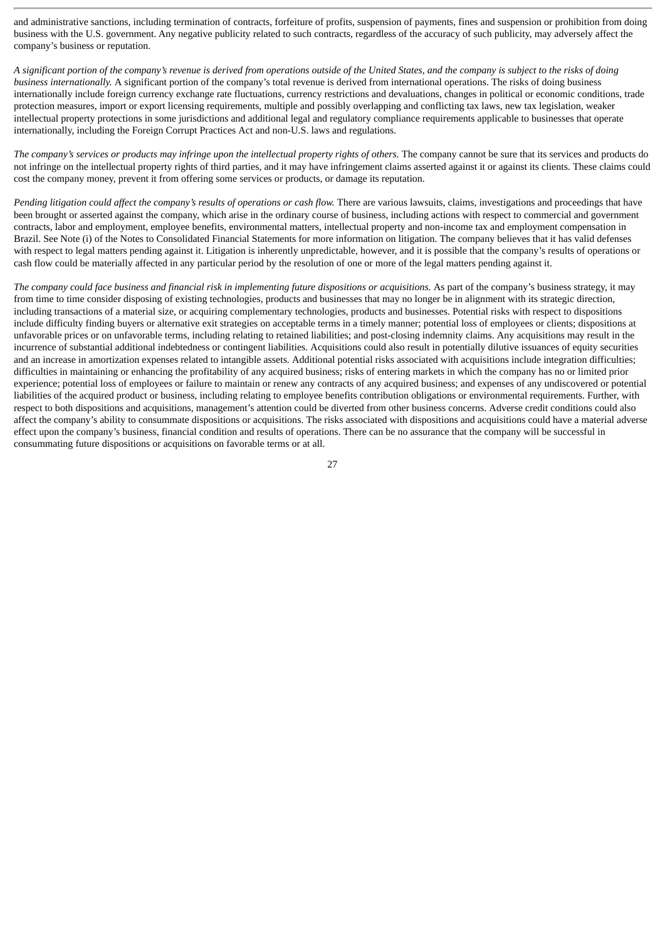and administrative sanctions, including termination of contracts, forfeiture of profits, suspension of payments, fines and suspension or prohibition from doing business with the U.S. government. Any negative publicity related to such contracts, regardless of the accuracy of such publicity, may adversely affect the company's business or reputation.

A significant portion of the company's revenue is derived from operations outside of the United States, and the company is subject to the risks of doing *business internationally.* A significant portion of the company's total revenue is derived from international operations. The risks of doing business internationally include foreign currency exchange rate fluctuations, currency restrictions and devaluations, changes in political or economic conditions, trade protection measures, import or export licensing requirements, multiple and possibly overlapping and conflicting tax laws, new tax legislation, weaker intellectual property protections in some jurisdictions and additional legal and regulatory compliance requirements applicable to businesses that operate internationally, including the Foreign Corrupt Practices Act and non-U.S. laws and regulations.

The company's services or products may infringe upon the intellectual property rights of others. The company cannot be sure that its services and products do not infringe on the intellectual property rights of third parties, and it may have infringement claims asserted against it or against its clients. These claims could cost the company money, prevent it from offering some services or products, or damage its reputation.

Pending litigation could affect the company's results of operations or cash flow. There are various lawsuits, claims, investigations and proceedings that have been brought or asserted against the company, which arise in the ordinary course of business, including actions with respect to commercial and government contracts, labor and employment, employee benefits, environmental matters, intellectual property and non-income tax and employment compensation in Brazil. See Note (i) of the Notes to Consolidated Financial Statements for more information on litigation. The company believes that it has valid defenses with respect to legal matters pending against it. Litigation is inherently unpredictable, however, and it is possible that the company's results of operations or cash flow could be materially affected in any particular period by the resolution of one or more of the legal matters pending against it.

The company could face business and financial risk in implementing future dispositions or acquisitions. As part of the company's business strategy, it may from time to time consider disposing of existing technologies, products and businesses that may no longer be in alignment with its strategic direction, including transactions of a material size, or acquiring complementary technologies, products and businesses. Potential risks with respect to dispositions include difficulty finding buyers or alternative exit strategies on acceptable terms in a timely manner; potential loss of employees or clients; dispositions at unfavorable prices or on unfavorable terms, including relating to retained liabilities; and post-closing indemnity claims. Any acquisitions may result in the incurrence of substantial additional indebtedness or contingent liabilities. Acquisitions could also result in potentially dilutive issuances of equity securities and an increase in amortization expenses related to intangible assets. Additional potential risks associated with acquisitions include integration difficulties; difficulties in maintaining or enhancing the profitability of any acquired business; risks of entering markets in which the company has no or limited prior experience; potential loss of employees or failure to maintain or renew any contracts of any acquired business; and expenses of any undiscovered or potential liabilities of the acquired product or business, including relating to employee benefits contribution obligations or environmental requirements. Further, with respect to both dispositions and acquisitions, management's attention could be diverted from other business concerns. Adverse credit conditions could also affect the company's ability to consummate dispositions or acquisitions. The risks associated with dispositions and acquisitions could have a material adverse effect upon the company's business, financial condition and results of operations. There can be no assurance that the company will be successful in consummating future dispositions or acquisitions on favorable terms or at all.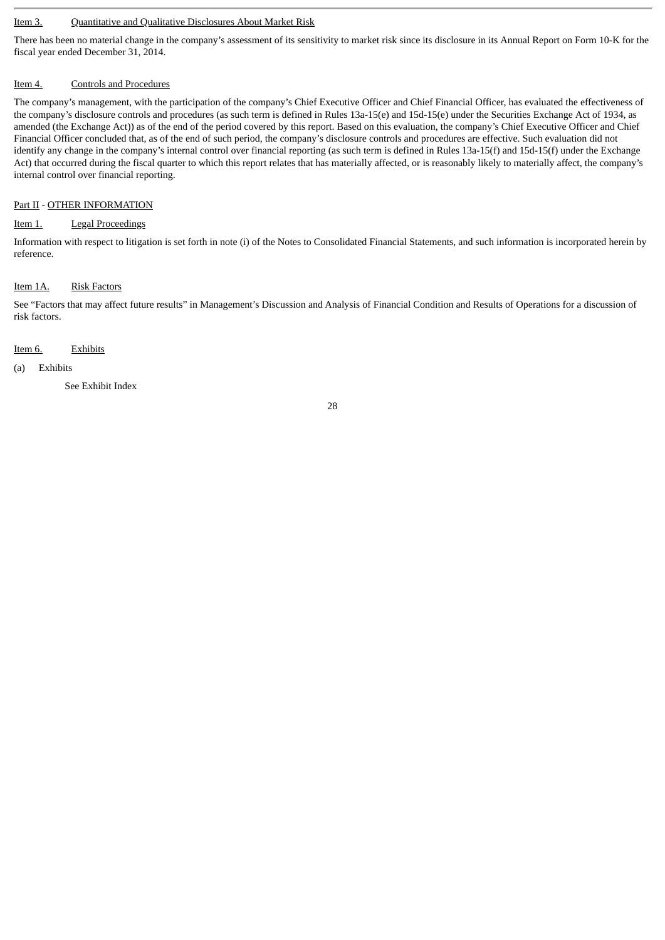## Item 3. Quantitative and Qualitative Disclosures About Market Risk

There has been no material change in the company's assessment of its sensitivity to market risk since its disclosure in its Annual Report on Form 10-K for the fiscal year ended December 31, 2014.

#### Item 4. Controls and Procedures

The company's management, with the participation of the company's Chief Executive Officer and Chief Financial Officer, has evaluated the effectiveness of the company's disclosure controls and procedures (as such term is defined in Rules 13a-15(e) and 15d-15(e) under the Securities Exchange Act of 1934, as amended (the Exchange Act)) as of the end of the period covered by this report. Based on this evaluation, the company's Chief Executive Officer and Chief Financial Officer concluded that, as of the end of such period, the company's disclosure controls and procedures are effective. Such evaluation did not identify any change in the company's internal control over financial reporting (as such term is defined in Rules 13a-15(f) and 15d-15(f) under the Exchange Act) that occurred during the fiscal quarter to which this report relates that has materially affected, or is reasonably likely to materially affect, the company's internal control over financial reporting.

### Part II - OTHER INFORMATION

#### Item 1. Legal Proceedings

Information with respect to litigation is set forth in note (i) of the Notes to Consolidated Financial Statements, and such information is incorporated herein by reference.

## Item 1A. Risk Factors

See "Factors that may affect future results" in Management's Discussion and Analysis of Financial Condition and Results of Operations for a discussion of risk factors.

Item 6. Exhibits

(a) Exhibits

See Exhibit Index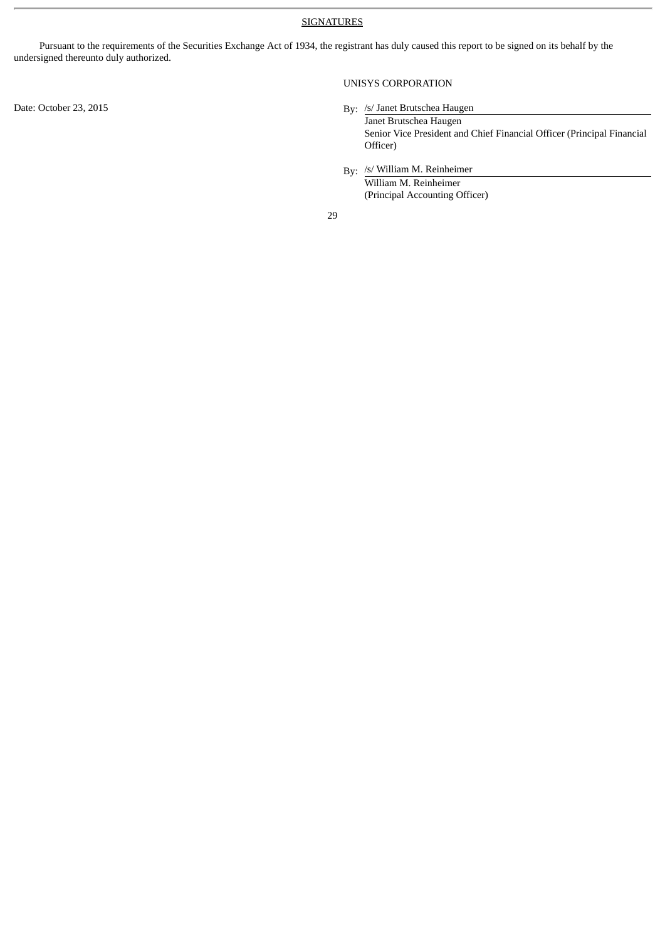## **SIGNATURES**

Pursuant to the requirements of the Securities Exchange Act of 1934, the registrant has duly caused this report to be signed on its behalf by the undersigned thereunto duly authorized.

Date: October 23, 2015

## UNISYS CORPORATION

By: /s/ Janet Brutschea Haugen

Janet Brutschea Haugen Senior Vice President and Chief Financial Officer (Principal Financial Officer)

By: /s/ William M. Reinheimer William M. Reinheimer (Principal Accounting Officer)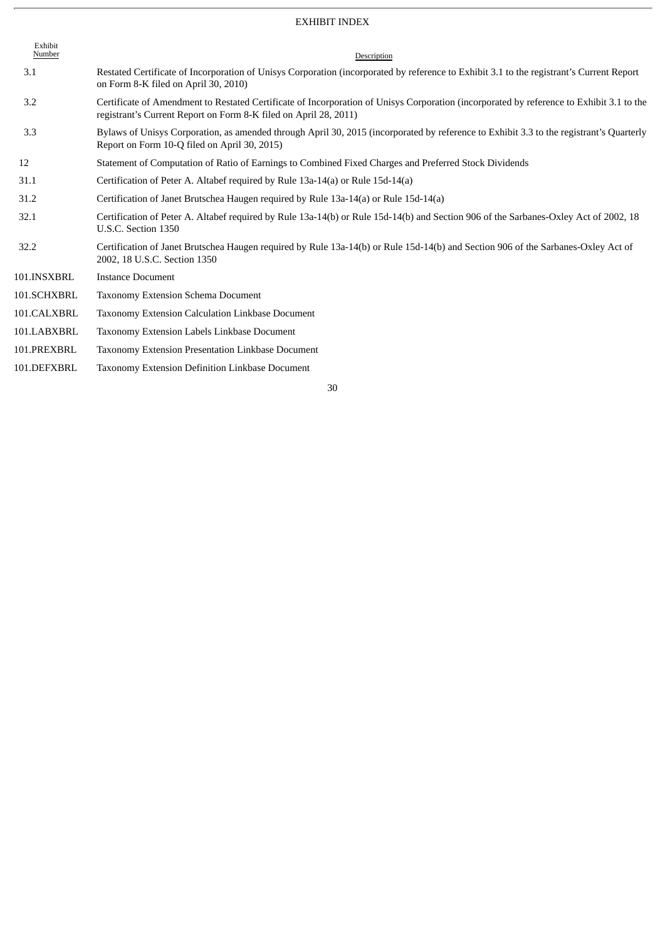## EXHIBIT INDEX

| Exhibit<br>Number | Description                                                                                                                                                                                                  |
|-------------------|--------------------------------------------------------------------------------------------------------------------------------------------------------------------------------------------------------------|
| 3.1               | Restated Certificate of Incorporation of Unisys Corporation (incorporated by reference to Exhibit 3.1 to the registrant's Current Report<br>on Form 8-K filed on April 30, 2010)                             |
| 3.2               | Certificate of Amendment to Restated Certificate of Incorporation of Unisys Corporation (incorporated by reference to Exhibit 3.1 to the<br>registrant's Current Report on Form 8-K filed on April 28, 2011) |
| 3.3               | Bylaws of Unisys Corporation, as amended through April 30, 2015 (incorporated by reference to Exhibit 3.3 to the registrant's Quarterly<br>Report on Form 10-Q filed on April 30, 2015)                      |
| 12                | Statement of Computation of Ratio of Earnings to Combined Fixed Charges and Preferred Stock Dividends                                                                                                        |
| 31.1              | Certification of Peter A. Altabef required by Rule 13a-14(a) or Rule 15d-14(a)                                                                                                                               |
| 31.2              | Certification of Janet Brutschea Haugen required by Rule 13a-14(a) or Rule 15d-14(a)                                                                                                                         |
| 32.1              | Certification of Peter A. Altabef required by Rule 13a-14(b) or Rule 15d-14(b) and Section 906 of the Sarbanes-Oxley Act of 2002, 18<br>U.S.C. Section 1350                                                  |
| 32.2              | Certification of Janet Brutschea Haugen required by Rule 13a-14(b) or Rule 15d-14(b) and Section 906 of the Sarbanes-Oxley Act of<br>2002, 18 U.S.C. Section 1350                                            |
| 101.INSXBRL       | <b>Instance Document</b>                                                                                                                                                                                     |
| 101.SCHXBRL       | Taxonomy Extension Schema Document                                                                                                                                                                           |
| 101.CALXBRL       | Taxonomy Extension Calculation Linkbase Document                                                                                                                                                             |
| 101.LABXBRL       | Taxonomy Extension Labels Linkbase Document                                                                                                                                                                  |
| 101.PREXBRL       | Taxonomy Extension Presentation Linkbase Document                                                                                                                                                            |
|                   |                                                                                                                                                                                                              |

101.DEFXBRL Taxonomy Extension Definition Linkbase Document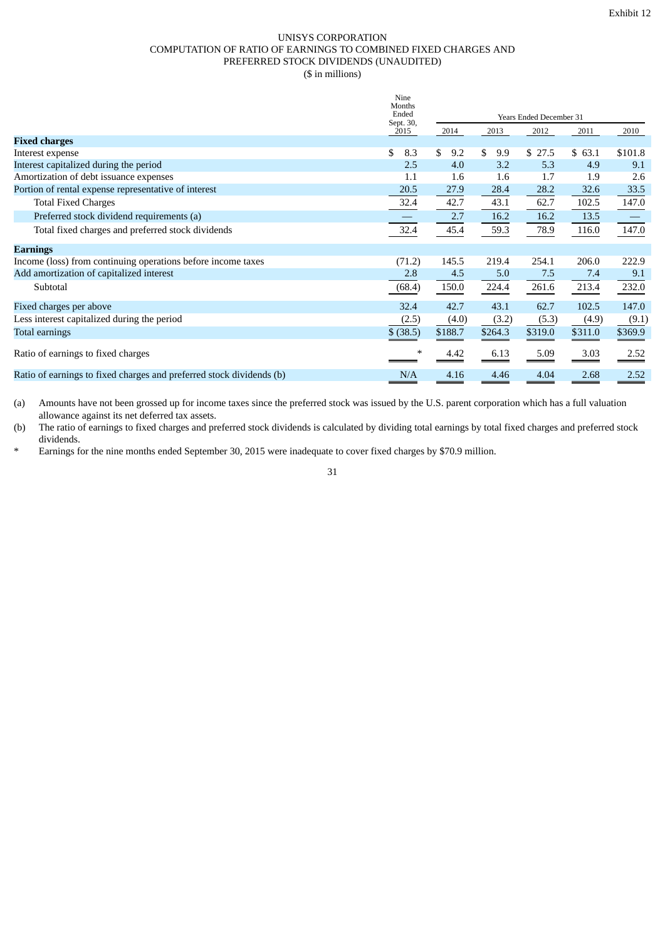#### UNISYS CORPORATION COMPUTATION OF RATIO OF EARNINGS TO COMBINED FIXED CHARGES AND PREFERRED STOCK DIVIDENDS (UNAUDITED) (\$ in millions)

|                                                                      | Nine<br>Months<br>Ended | Years Ended December 31 |           |         |         |         |
|----------------------------------------------------------------------|-------------------------|-------------------------|-----------|---------|---------|---------|
|                                                                      | Sept. 30,<br>2015       | 2014                    | 2013      | 2012    | 2011    | 2010    |
| <b>Fixed charges</b>                                                 |                         |                         |           |         |         |         |
| Interest expense                                                     | \$<br>8.3               | \$<br>9.2               | \$<br>9.9 | \$27.5  | \$63.1  | \$101.8 |
| Interest capitalized during the period                               | 2.5                     | 4.0                     | 3.2       | 5.3     | 4.9     | 9.1     |
| Amortization of debt issuance expenses                               | 1.1                     | 1.6                     | 1.6       | 1.7     | 1.9     | 2.6     |
| Portion of rental expense representative of interest                 | 20.5                    | 27.9                    | 28.4      | 28.2    | 32.6    | 33.5    |
| <b>Total Fixed Charges</b>                                           | 32.4                    | 42.7                    | 43.1      | 62.7    | 102.5   | 147.0   |
| Preferred stock dividend requirements (a)                            |                         | 2.7                     | 16.2      | 16.2    | 13.5    |         |
| Total fixed charges and preferred stock dividends                    | 32.4                    | 45.4                    | 59.3      | 78.9    | 116.0   | 147.0   |
| <b>Earnings</b>                                                      |                         |                         |           |         |         |         |
| Income (loss) from continuing operations before income taxes         | (71.2)                  | 145.5                   | 219.4     | 254.1   | 206.0   | 222.9   |
| Add amortization of capitalized interest                             | 2.8                     | 4.5                     | 5.0       | 7.5     | 7.4     | 9.1     |
| Subtotal                                                             | (68.4)                  | 150.0                   | 224.4     | 261.6   | 213.4   | 232.0   |
| Fixed charges per above                                              | 32.4                    | 42.7                    | 43.1      | 62.7    | 102.5   | 147.0   |
| Less interest capitalized during the period                          | (2.5)                   | (4.0)                   | (3.2)     | (5.3)   | (4.9)   | (9.1)   |
| <b>Total earnings</b>                                                | \$ (38.5)               | \$188.7                 | \$264.3   | \$319.0 | \$311.0 | \$369.9 |
| Ratio of earnings to fixed charges                                   | ∗                       | 4.42                    | 6.13      | 5.09    | 3.03    | 2.52    |
| Ratio of earnings to fixed charges and preferred stock dividends (b) | N/A                     | 4.16                    | 4.46      | 4.04    | 2.68    | 2.52    |

(a) Amounts have not been grossed up for income taxes since the preferred stock was issued by the U.S. parent corporation which has a full valuation allowance against its net deferred tax assets.

(b) The ratio of earnings to fixed charges and preferred stock dividends is calculated by dividing total earnings by total fixed charges and preferred stock dividends.

Earnings for the nine months ended September 30, 2015 were inadequate to cover fixed charges by \$70.9 million.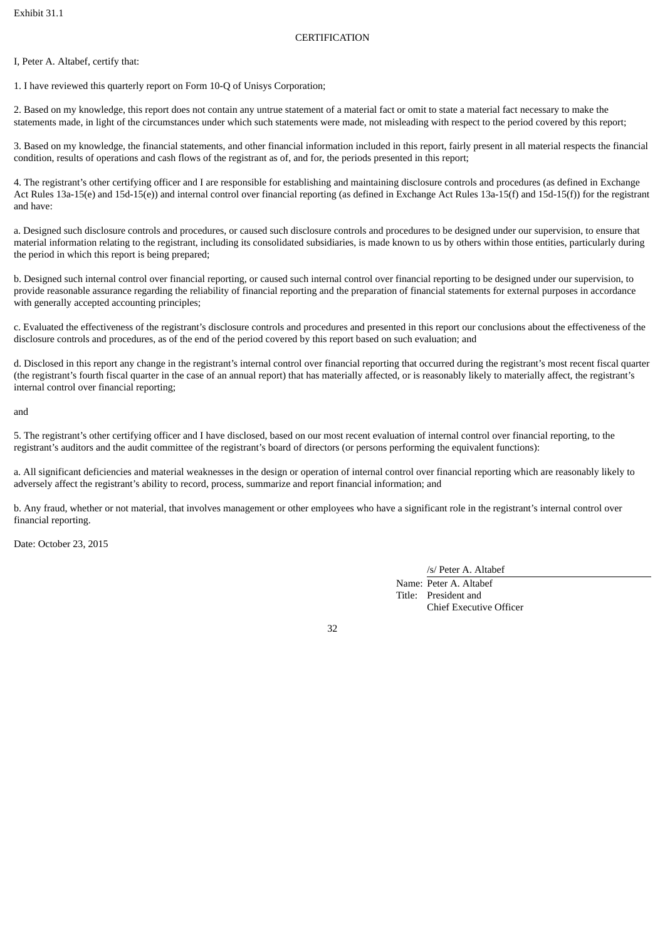#### **CERTIFICATION**

I, Peter A. Altabef, certify that:

1. I have reviewed this quarterly report on Form 10-Q of Unisys Corporation;

2. Based on my knowledge, this report does not contain any untrue statement of a material fact or omit to state a material fact necessary to make the statements made, in light of the circumstances under which such statements were made, not misleading with respect to the period covered by this report;

3. Based on my knowledge, the financial statements, and other financial information included in this report, fairly present in all material respects the financial condition, results of operations and cash flows of the registrant as of, and for, the periods presented in this report;

4. The registrant's other certifying officer and I are responsible for establishing and maintaining disclosure controls and procedures (as defined in Exchange Act Rules 13a-15(e) and 15d-15(e)) and internal control over financial reporting (as defined in Exchange Act Rules 13a-15(f) and 15d-15(f)) for the registrant and have:

a. Designed such disclosure controls and procedures, or caused such disclosure controls and procedures to be designed under our supervision, to ensure that material information relating to the registrant, including its consolidated subsidiaries, is made known to us by others within those entities, particularly during the period in which this report is being prepared;

b. Designed such internal control over financial reporting, or caused such internal control over financial reporting to be designed under our supervision, to provide reasonable assurance regarding the reliability of financial reporting and the preparation of financial statements for external purposes in accordance with generally accepted accounting principles;

c. Evaluated the effectiveness of the registrant's disclosure controls and procedures and presented in this report our conclusions about the effectiveness of the disclosure controls and procedures, as of the end of the period covered by this report based on such evaluation; and

d. Disclosed in this report any change in the registrant's internal control over financial reporting that occurred during the registrant's most recent fiscal quarter (the registrant's fourth fiscal quarter in the case of an annual report) that has materially affected, or is reasonably likely to materially affect, the registrant's internal control over financial reporting;

and

5. The registrant's other certifying officer and I have disclosed, based on our most recent evaluation of internal control over financial reporting, to the registrant's auditors and the audit committee of the registrant's board of directors (or persons performing the equivalent functions):

a. All significant deficiencies and material weaknesses in the design or operation of internal control over financial reporting which are reasonably likely to adversely affect the registrant's ability to record, process, summarize and report financial information; and

b. Any fraud, whether or not material, that involves management or other employees who have a significant role in the registrant's internal control over financial reporting.

Date: October 23, 2015

/s/ Peter A. Altabef

Name: Peter A. Altabef Title: President and Chief Executive Officer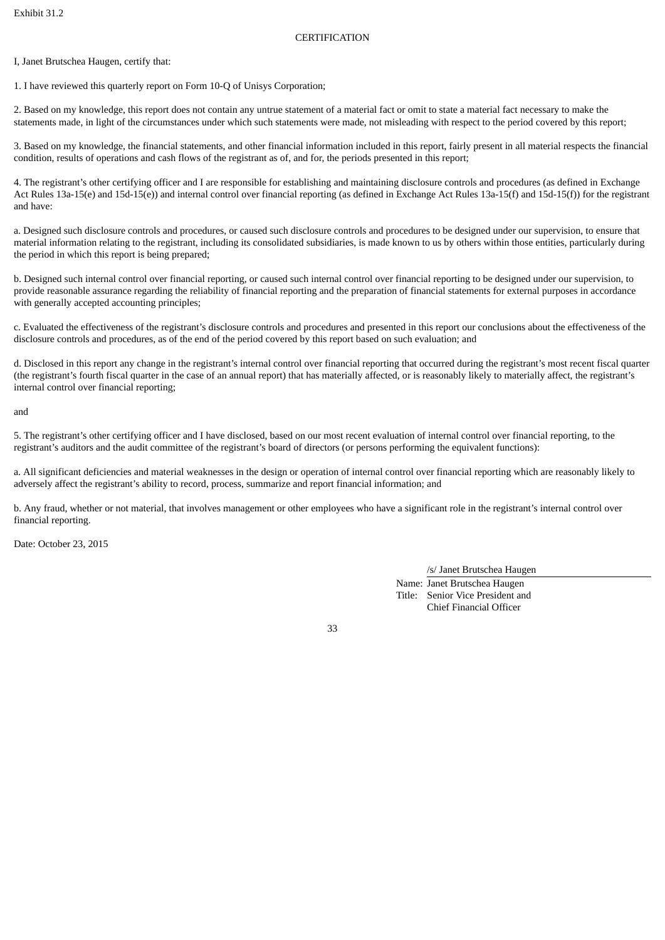#### **CERTIFICATION**

I, Janet Brutschea Haugen, certify that:

1. I have reviewed this quarterly report on Form 10-Q of Unisys Corporation;

2. Based on my knowledge, this report does not contain any untrue statement of a material fact or omit to state a material fact necessary to make the statements made, in light of the circumstances under which such statements were made, not misleading with respect to the period covered by this report;

3. Based on my knowledge, the financial statements, and other financial information included in this report, fairly present in all material respects the financial condition, results of operations and cash flows of the registrant as of, and for, the periods presented in this report;

4. The registrant's other certifying officer and I are responsible for establishing and maintaining disclosure controls and procedures (as defined in Exchange Act Rules 13a-15(e) and 15d-15(e)) and internal control over financial reporting (as defined in Exchange Act Rules 13a-15(f) and 15d-15(f)) for the registrant and have:

a. Designed such disclosure controls and procedures, or caused such disclosure controls and procedures to be designed under our supervision, to ensure that material information relating to the registrant, including its consolidated subsidiaries, is made known to us by others within those entities, particularly during the period in which this report is being prepared;

b. Designed such internal control over financial reporting, or caused such internal control over financial reporting to be designed under our supervision, to provide reasonable assurance regarding the reliability of financial reporting and the preparation of financial statements for external purposes in accordance with generally accepted accounting principles;

c. Evaluated the effectiveness of the registrant's disclosure controls and procedures and presented in this report our conclusions about the effectiveness of the disclosure controls and procedures, as of the end of the period covered by this report based on such evaluation; and

d. Disclosed in this report any change in the registrant's internal control over financial reporting that occurred during the registrant's most recent fiscal quarter (the registrant's fourth fiscal quarter in the case of an annual report) that has materially affected, or is reasonably likely to materially affect, the registrant's internal control over financial reporting;

and

5. The registrant's other certifying officer and I have disclosed, based on our most recent evaluation of internal control over financial reporting, to the registrant's auditors and the audit committee of the registrant's board of directors (or persons performing the equivalent functions):

a. All significant deficiencies and material weaknesses in the design or operation of internal control over financial reporting which are reasonably likely to adversely affect the registrant's ability to record, process, summarize and report financial information; and

b. Any fraud, whether or not material, that involves management or other employees who have a significant role in the registrant's internal control over financial reporting.

Date: October 23, 2015

/s/ Janet Brutschea Haugen

Name: Janet Brutschea Haugen Title: Senior Vice President and Chief Financial Officer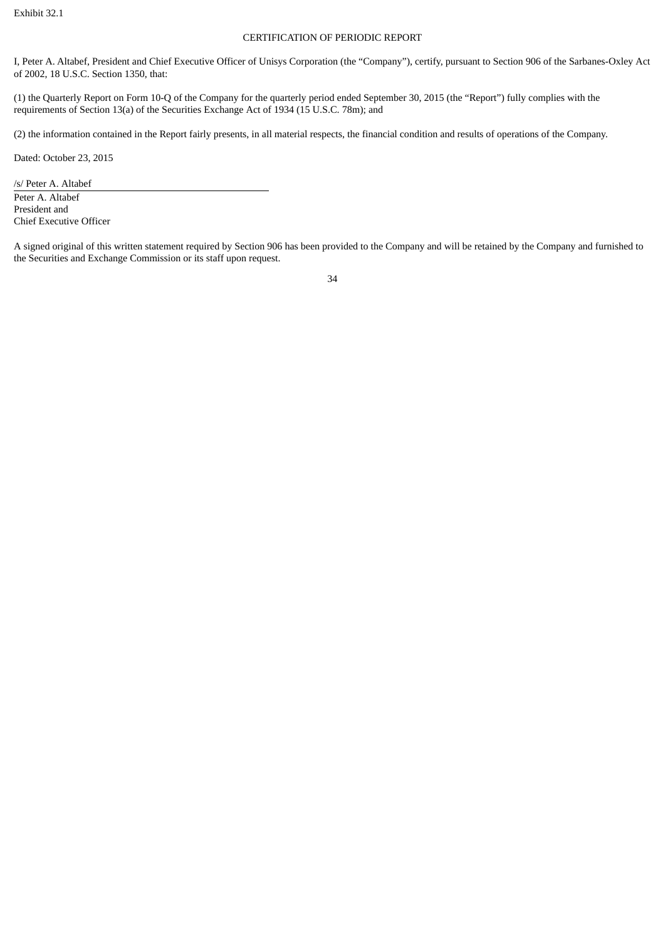#### CERTIFICATION OF PERIODIC REPORT

I, Peter A. Altabef, President and Chief Executive Officer of Unisys Corporation (the "Company"), certify, pursuant to Section 906 of the Sarbanes-Oxley Act of 2002, 18 U.S.C. Section 1350, that:

(1) the Quarterly Report on Form 10-Q of the Company for the quarterly period ended September 30, 2015 (the "Report") fully complies with the requirements of Section 13(a) of the Securities Exchange Act of 1934 (15 U.S.C. 78m); and

(2) the information contained in the Report fairly presents, in all material respects, the financial condition and results of operations of the Company.

Dated: October 23, 2015

/s/ Peter A. Altabef Peter A. Altabef President and Chief Executive Officer

A signed original of this written statement required by Section 906 has been provided to the Company and will be retained by the Company and furnished to the Securities and Exchange Commission or its staff upon request.